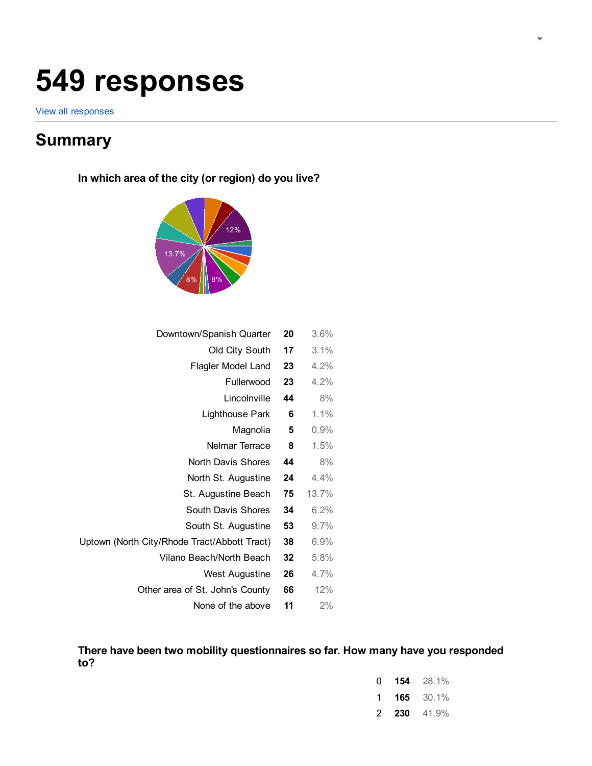# 549 responses

[View all responses](https://docs.google.com/spreadsheets/d/192YrlyTsdV900nVc8Fb3jQAajrCtsTFPB2ggAtJUBD0?usp=forms_web_l#gid=1363594165)

# **Summary**

Uptown (North

In which area of the city (or region) do you live?



| 3.6%    | 20 | Downtown/Spanish Quarter        |
|---------|----|---------------------------------|
| 3.1%    | 17 | Old City South                  |
| 4.2%    | 23 | Flagler Model Land              |
| 4.2%    | 23 | Fullerwood                      |
| 8%      | 44 | Lincolnville                    |
| 1.1%    | 6  | Lighthouse Park                 |
| 0.9%    | 5  | Magnolia                        |
| 1.5%    | 8  | Nelmar Terrace                  |
| 8%      | 44 | North Davis Shores              |
| 4.4%    | 24 | North St. Augustine             |
| 13.7%   | 75 | St. Augustine Beach             |
| 6.2%    | 34 | South Davis Shores              |
| 9.7%    | 53 | South St. Augustine             |
| 6.9%    | 38 | City/Rhode Tract/Abbott Tract)  |
| 5.8%    | 32 | Vilano Beach/North Beach        |
| $4.7\%$ | 26 | West Augustine                  |
| 12%     | 66 | Other area of St. John's County |
| 2%      | 11 | None of the above               |

### There have been two mobility questionnaires so far. How many have you responded to?

| O | 154 | 28.1%    |
|---|-----|----------|
| 1 | 165 | $30.1\%$ |
| 2 | 230 | 41.9%    |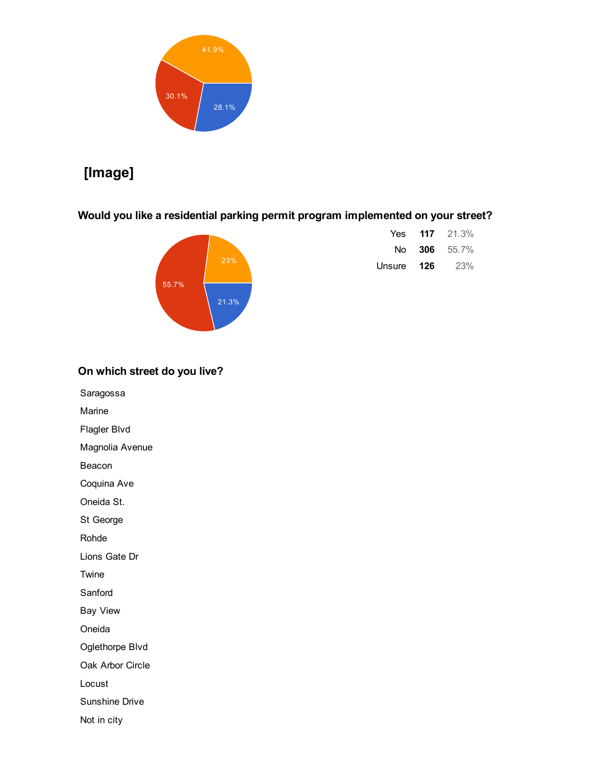

# [Image]

Would you like a residential parking permit program implemented on your street?



| Yes.   |     | <b>117</b> 21.3% |
|--------|-----|------------------|
|        |     | No 306 55.7%     |
| Unsure | 126 | <b>23%</b>       |

### On which street do you live?

Saragossa

Marine

Flagler Blvd

Magnolia Avenue

Beacon

Coquina Ave

Oneida St.

St George

Rohde

Lions Gate Dr

Twine

Sanford

Bay View

Oneida

Oglethorpe Blvd

Oak Arbor Circle

Locust

Sunshine Drive

Not in city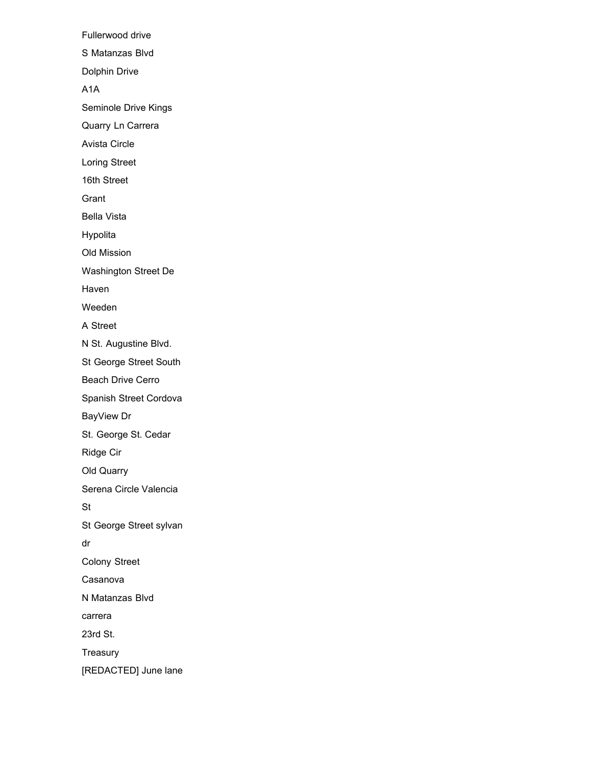Fullerwood drive S Matanzas Blvd Dolphin Drive A1A Seminole Drive Kings Quarry Ln Carrera Avista Circle Loring Street 16th Street Grant Bella Vista Hypolita Old Mission Washington Street De Haven Weeden A Street N St. Augustine Blvd. St George Street South Beach Drive Cerro Spanish Street Cordova BayView Dr St. George St. Cedar Ridge Cir Old Quarry Serena Circle Valencia St St George Street sylvan dr Colony Street Casanova N Matanzas Blvd carrera 23rd St. Treasury [REDACTED] June lane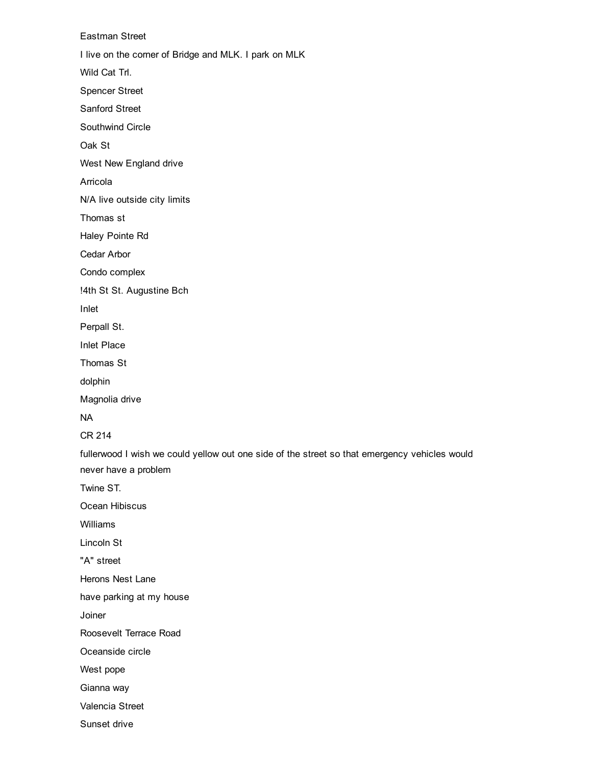Eastman Street I live on the corner of Bridge and MLK. I park on MLK Wild Cat Trl. Spencer Street Sanford Street Southwind Circle Oak St West New England drive Arricola N/A live outside city limits Thomas st Haley Pointe Rd Cedar Arbor Condo complex !4th St St. Augustine Bch Inlet Perpall St. Inlet Place Thomas St dolphin Magnolia drive NA CR 214 fullerwood I wish we could yellow out one side of the street so that emergency vehicles would never have a problem Twine ST. Ocean Hibiscus Williams Lincoln St "A" street Herons Nest Lane have parking at my house Joiner Roosevelt Terrace Road Oceanside circle West pope Gianna way Valencia Street Sunset drive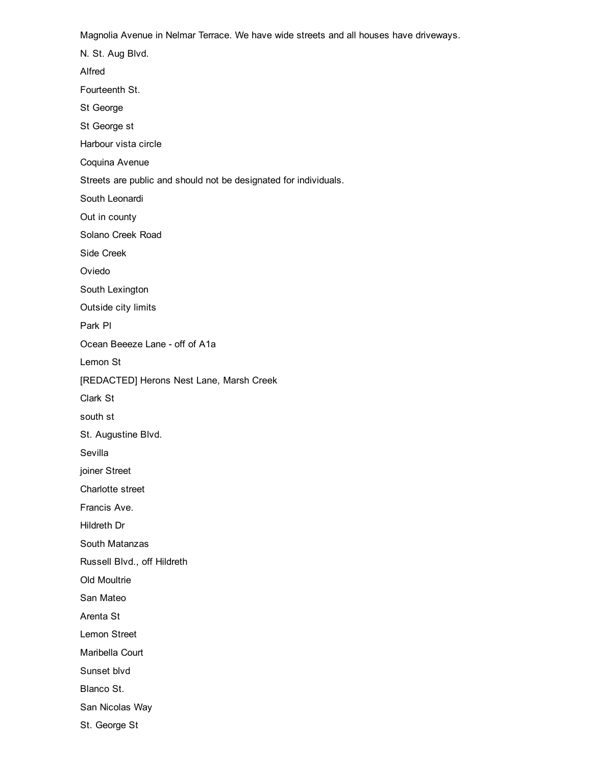Magnolia Avenue in Nelmar Terrace. We have wide streets and all houses have driveways.

N. St. Aug Blvd. Alfred Fourteenth St. St George St George st Harbour vista circle Coquina Avenue Streets are public and should not be designated for individuals. South Leonardi Out in county Solano Creek Road Side Creek Oviedo South Lexington Outside city limits Park Pl Ocean Beeeze Lane - off of A1a Lemon St [REDACTED] Herons Nest Lane, Marsh Creek Clark St south st St. Augustine Blvd. Sevilla joiner Street Charlotte street Francis Ave. Hildreth Dr South Matanzas Russell Blvd., off Hildreth Old Moultrie San Mateo Arenta St Lemon Street Maribella Court Sunset blvd Blanco St.

San Nicolas Way

St. George St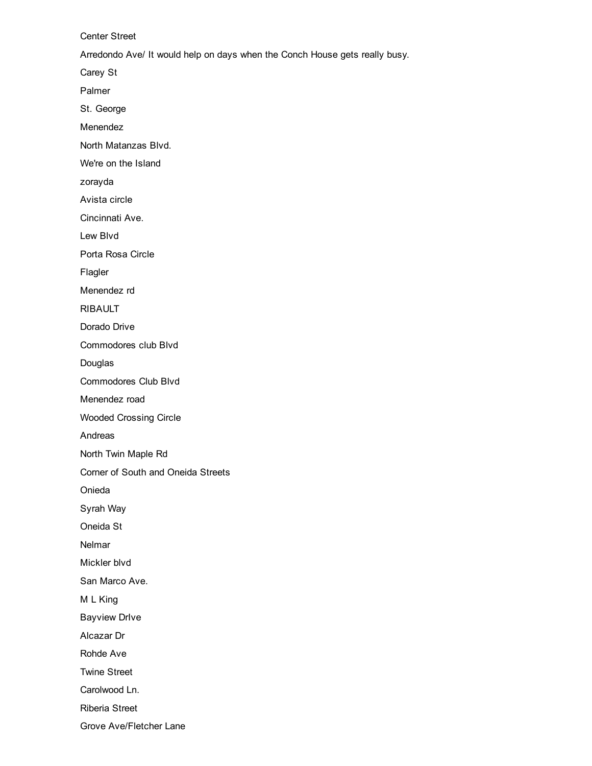Center Street

Arredondo Ave/ It would help on days when the Conch House gets really busy.

Carey St

Palmer

St. George

Menendez

North Matanzas Blvd.

We're on the Island

zorayda

Avista circle

Cincinnati Ave.

Lew Blvd

Porta Rosa Circle

Flagler

Menendez rd

RIBAULT

Dorado Drive

Commodores club Blvd

Douglas

Commodores Club Blvd

Menendez road

Wooded Crossing Circle

Andreas

North Twin Maple Rd

Corner of South and Oneida Streets

Onieda

Syrah Way

Oneida St

Nelmar

Mickler blvd

San Marco Ave.

M L King

Bayview DrIve

Alcazar Dr

Rohde Ave

Twine Street

Carolwood Ln.

Riberia Street

Grove Ave/Fletcher Lane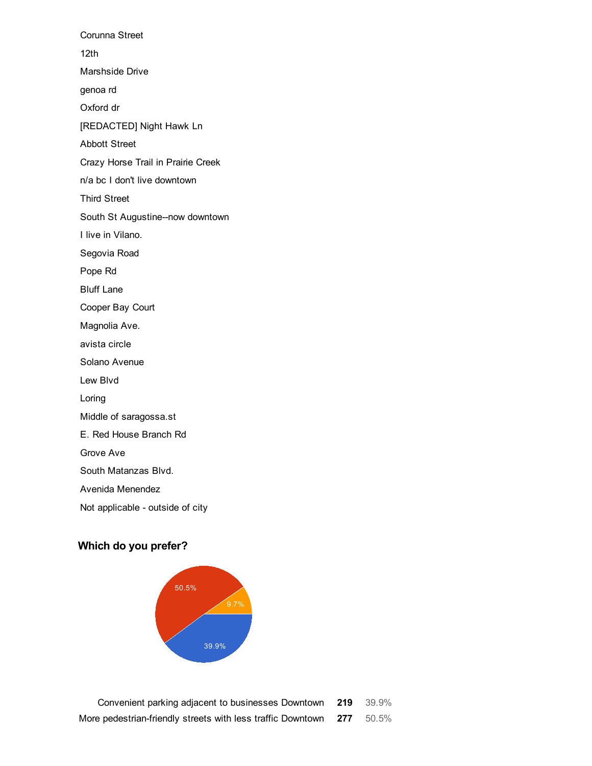Corunna Street 12th Marshside Drive genoa rd Oxford dr [REDACTED] Night Hawk Ln Abbott Street Crazy Horse Trail in Prairie Creek n/a bc I don't live downtown Third Street South St Augustine--now downtown I live in Vilano. Segovia Road Pope Rd Bluff Lane Cooper Bay Court Magnolia Ave. avista circle Solano Avenue Lew Blvd Loring Middle of saragossa.st E. Red House Branch Rd Grove Ave South Matanzas Blvd. Avenida Menendez Not applicable - outside of city

### Which do you prefer?



Convenient parking adjacent to businesses Downtown 219 39.9% More pedestrian-friendly streets with less traffic Downtown 277 50.5%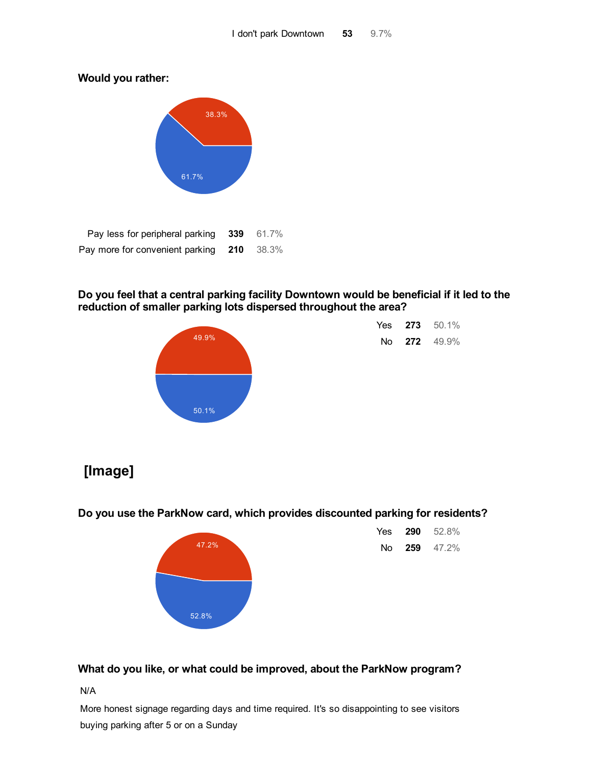Would you rather:



| Pay less for peripheral parking 339 61.7% |  |
|-------------------------------------------|--|
| Pay more for convenient parking 210 38.3% |  |

### Do you feel that a central parking facility Downtown would be beneficial if it led to the reduction of smaller parking lots dispersed throughout the area?



| Yes | 273 | $50.1\%$ |
|-----|-----|----------|
| No  | 272 | 49.9%    |

# [Image]

Do you use the ParkNow card, which provides discounted parking for residents?



| Yes | 290 | 52.8% |
|-----|-----|-------|
| N٥  | 259 | 47.2% |

### What do you like, or what could be improved, about the ParkNow program?

N/A

More honest signage regarding days and time required. It's so disappointing to see visitors buying parking after 5 or on a Sunday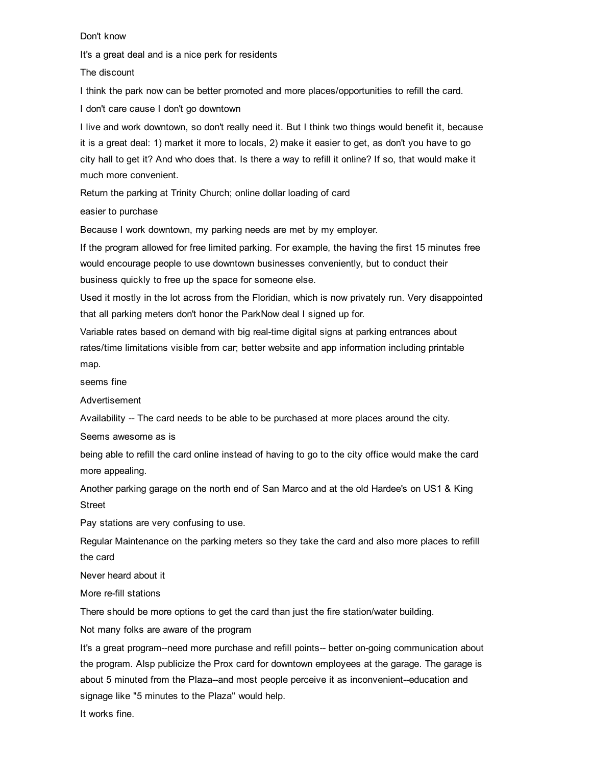Don't know

It's a great deal and is a nice perk for residents

The discount

I think the park now can be better promoted and more places/opportunities to refill the card.

I don't care cause I don't go downtown

I live and work downtown, so don't really need it. But I think two things would benefit it, because it is a great deal: 1) market it more to locals, 2) make it easier to get, as don't you have to go city hall to get it? And who does that. Is there a way to refill it online? If so, that would make it much more convenient.

Return the parking at Trinity Church; online dollar loading of card

easier to purchase

Because I work downtown, my parking needs are met by my employer.

If the program allowed for free limited parking. For example, the having the first 15 minutes free would encourage people to use downtown businesses conveniently, but to conduct their business quickly to free up the space for someone else.

Used it mostly in the lot across from the Floridian, which is now privately run. Very disappointed that all parking meters don't honor the ParkNow deal I signed up for.

Variable rates based on demand with big real-time digital signs at parking entrances about rates/time limitations visible from car; better website and app information including printable map.

seems fine

Advertisement

Availability -- The card needs to be able to be purchased at more places around the city.

Seems awesome as is

being able to refill the card online instead of having to go to the city office would make the card more appealing.

Another parking garage on the north end of San Marco and at the old Hardee's on US1 & King Street

Pay stations are very confusing to use.

Regular Maintenance on the parking meters so they take the card and also more places to refill the card

Never heard about it

More re-fill stations

There should be more options to get the card than just the fire station/water building.

Not many folks are aware of the program

It's a great program--need more purchase and refill points-- better on-going communication about the program. Alsp publicize the Prox card for downtown employees at the garage. The garage is about 5 minuted from the Plaza--and most people perceive it as inconvenient--education and signage like "5 minutes to the Plaza" would help.

It works fine.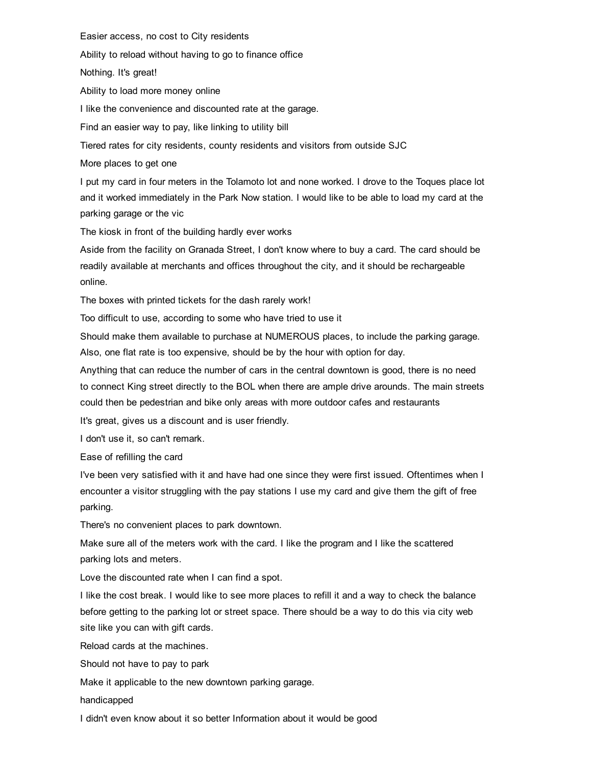Easier access, no cost to City residents

Ability to reload without having to go to finance office

Nothing. It's great!

Ability to load more money online

I like the convenience and discounted rate at the garage.

Find an easier way to pay, like linking to utility bill

Tiered rates for city residents, county residents and visitors from outside SJC

More places to get one

I put my card in four meters in the Tolamoto lot and none worked. I drove to the Toques place lot and it worked immediately in the Park Now station. I would like to be able to load my card at the parking garage or the vic

The kiosk in front of the building hardly ever works

Aside from the facility on Granada Street, I don't know where to buy a card. The card should be readily available at merchants and offices throughout the city, and it should be rechargeable online.

The boxes with printed tickets for the dash rarely work!

Too difficult to use, according to some who have tried to use it

Should make them available to purchase at NUMEROUS places, to include the parking garage. Also, one flat rate is too expensive, should be by the hour with option for day.

Anything that can reduce the number of cars in the central downtown is good, there is no need to connect King street directly to the BOL when there are ample drive arounds. The main streets could then be pedestrian and bike only areas with more outdoor cafes and restaurants

It's great, gives us a discount and is user friendly.

I don't use it, so can't remark.

Ease of refilling the card

I've been very satisfied with it and have had one since they were first issued. Oftentimes when I encounter a visitor struggling with the pay stations I use my card and give them the gift of free parking.

There's no convenient places to park downtown.

Make sure all of the meters work with the card. I like the program and I like the scattered parking lots and meters.

Love the discounted rate when I can find a spot.

I like the cost break. I would like to see more places to refill it and a way to check the balance before getting to the parking lot or street space. There should be a way to do this via city web site like you can with gift cards.

Reload cards at the machines.

Should not have to pay to park

Make it applicable to the new downtown parking garage.

handicapped

I didn't even know about it so better Information about it would be good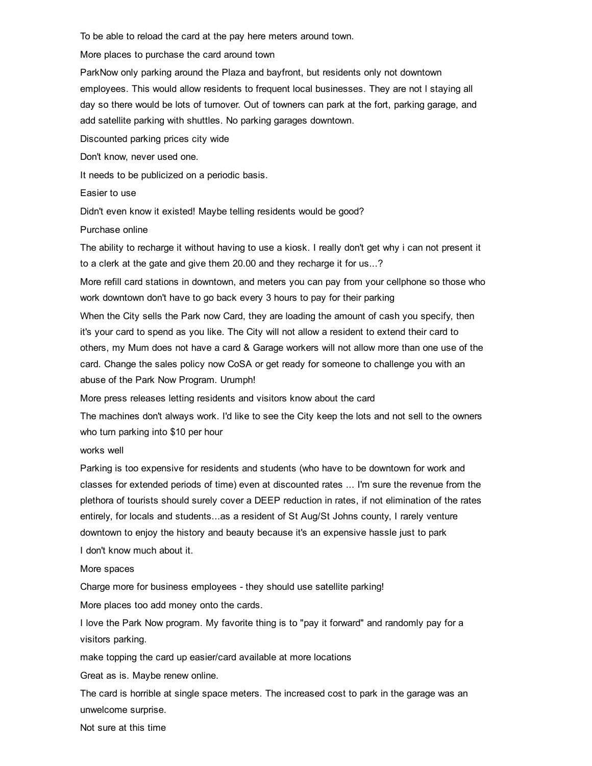To be able to reload the card at the pay here meters around town.

More places to purchase the card around town

ParkNow only parking around the Plaza and bayfront, but residents only not downtown employees. This would allow residents to frequent local businesses. They are not l staying all day so there would be lots of turnover. Out of towners can park at the fort, parking garage, and add satellite parking with shuttles. No parking garages downtown.

Discounted parking prices city wide

Don't know, never used one.

It needs to be publicized on a periodic basis.

Easier to use

Didn't even know it existed! Maybe telling residents would be good?

Purchase online

The ability to recharge it without having to use a kiosk. I really don't get why i can not present it to a clerk at the gate and give them 20.00 and they recharge it for us...?

More refill card stations in downtown, and meters you can pay from your cellphone so those who work downtown don't have to go back every 3 hours to pay for their parking

When the City sells the Park now Card, they are loading the amount of cash you specify, then it's your card to spend as you like. The City will not allow a resident to extend their card to others, my Mum does not have a card & Garage workers will not allow more than one use of the card. Change the sales policy now CoSA or get ready for someone to challenge you with an abuse of the Park Now Program. Urumph!

More press releases letting residents and visitors know about the card

The machines don't always work. I'd like to see the City keep the lots and not sell to the owners who turn parking into \$10 per hour

#### works well

Parking is too expensive for residents and students (who have to be downtown for work and classes for extended periods of time) even at discounted rates ... I'm sure the revenue from the plethora of tourists should surely cover a DEEP reduction in rates, if not elimination of the rates entirely, for locals and students...as a resident of St Aug/St Johns county, I rarely venture downtown to enjoy the history and beauty because it's an expensive hassle just to park I don't know much about it.

#### More spaces

Charge more for business employees - they should use satellite parking!

More places too add money onto the cards.

I love the Park Now program. My favorite thing is to "pay it forward" and randomly pay for a visitors parking.

make topping the card up easier/card available at more locations

Great as is. Maybe renew online.

The card is horrible at single space meters. The increased cost to park in the garage was an unwelcome surprise.

Not sure at this time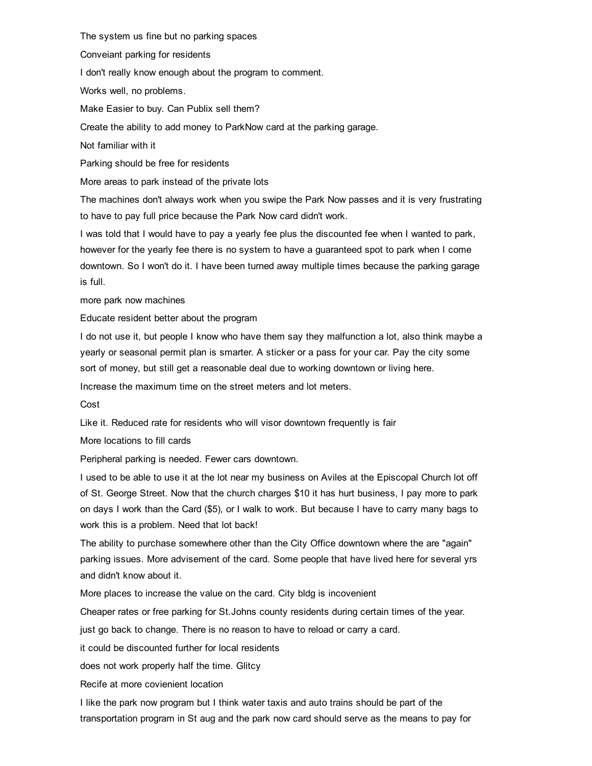The system us fine but no parking spaces

Conveiant parking for residents

I don't really know enough about the program to comment.

Works well, no problems.

Make Easier to buy. Can Publix sell them?

Create the ability to add money to ParkNow card at the parking garage.

Not familiar with it

Parking should be free for residents

More areas to park instead of the private lots

The machines don't always work when you swipe the Park Now passes and it is very frustrating to have to pay full price because the Park Now card didn't work.

I was told that I would have to pay a yearly fee plus the discounted fee when I wanted to park, however for the yearly fee there is no system to have a guaranteed spot to park when I come downtown. So I won't do it. I have been turned away multiple times because the parking garage is full.

more park now machines

Educate resident better about the program

I do not use it, but people I know who have them say they malfunction a lot, also think maybe a yearly or seasonal permit plan is smarter. A sticker or a pass for your car. Pay the city some sort of money, but still get a reasonable deal due to working downtown or living here.

Increase the maximum time on the street meters and lot meters.

Cost

Like it. Reduced rate for residents who will visor downtown frequently is fair

More locations to fill cards

Peripheral parking is needed. Fewer cars downtown.

I used to be able to use it at the lot near my business on Aviles at the Episcopal Church lot off of St. George Street. Now that the church charges \$10 it has hurt business, I pay more to park on days I work than the Card (\$5), or I walk to work. But because I have to carry many bags to work this is a problem. Need that lot back!

The ability to purchase somewhere other than the City Office downtown where the are "again" parking issues. More advisement of the card. Some people that have lived here for several yrs and didn't know about it.

More places to increase the value on the card. City bldg is incovenient

Cheaper rates or free parking for St.Johns county residents during certain times of the year.

just go back to change. There is no reason to have to reload or carry a card.

it could be discounted further for local residents

does not work properly half the time. Glitcy

Recife at more covienient location

I like the park now program but I think water taxis and auto trains should be part of the transportation program in St aug and the park now card should serve as the means to pay for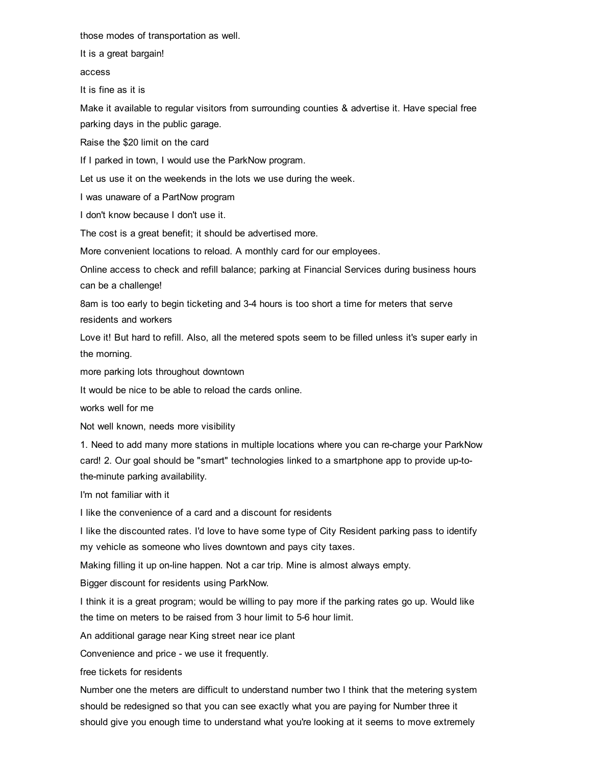those modes of transportation as well.

It is a great bargain!

access

It is fine as it is

Make it available to regular visitors from surrounding counties & advertise it. Have special free parking days in the public garage.

Raise the \$20 limit on the card

If I parked in town, I would use the ParkNow program.

Let us use it on the weekends in the lots we use during the week.

I was unaware of a PartNow program

I don't know because I don't use it.

The cost is a great benefit; it should be advertised more.

More convenient locations to reload. A monthly card for our employees.

Online access to check and refill balance; parking at Financial Services during business hours can be a challenge!

8am is too early to begin ticketing and 34 hours is too short a time for meters that serve residents and workers

Love it! But hard to refill. Also, all the metered spots seem to be filled unless it's super early in the morning.

more parking lots throughout downtown

It would be nice to be able to reload the cards online.

works well for me

Not well known, needs more visibility

1. Need to add many more stations in multiple locations where you can recharge your ParkNow card! 2. Our goal should be "smart" technologies linked to a smartphone app to provide uptothe-minute parking availability.

I'm not familiar with it

I like the convenience of a card and a discount for residents

I like the discounted rates. I'd love to have some type of City Resident parking pass to identify my vehicle as someone who lives downtown and pays city taxes.

Making filling it up on-line happen. Not a car trip. Mine is almost always empty.

Bigger discount for residents using ParkNow.

I think it is a great program; would be willing to pay more if the parking rates go up. Would like the time on meters to be raised from 3 hour limit to 5-6 hour limit.

An additional garage near King street near ice plant

Convenience and price - we use it frequently.

free tickets for residents

Number one the meters are difficult to understand number two I think that the metering system should be redesigned so that you can see exactly what you are paying for Number three it should give you enough time to understand what you're looking at it seems to move extremely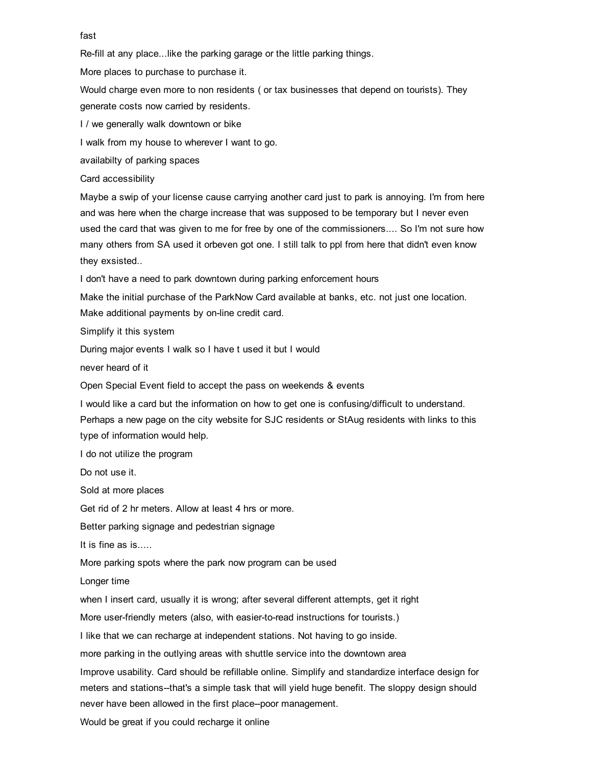#### fast

Re-fill at any place...like the parking garage or the little parking things.

More places to purchase to purchase it.

Would charge even more to non residents ( or tax businesses that depend on tourists). They generate costs now carried by residents.

I / we generally walk downtown or bike

I walk from my house to wherever I want to go.

availabilty of parking spaces

Card accessibility

Maybe a swip of your license cause carrying another card just to park is annoying. I'm from here and was here when the charge increase that was supposed to be temporary but I never even used the card that was given to me for free by one of the commissioners.... So I'm not sure how many others from SA used it orbeven got one. I still talk to ppl from here that didn't even know they exsisted..

I don't have a need to park downtown during parking enforcement hours

Make the initial purchase of the ParkNow Card available at banks, etc. not just one location. Make additional payments by on-line credit card.

Simplify it this system

During major events I walk so I have t used it but I would

never heard of it

Open Special Event field to accept the pass on weekends & events

I would like a card but the information on how to get one is confusing/difficult to understand.

Perhaps a new page on the city website for SJC residents or StAug residents with links to this type of information would help.

I do not utilize the program

Do not use it.

Sold at more places

Get rid of 2 hr meters. Allow at least 4 hrs or more.

Better parking signage and pedestrian signage

It is fine as is.....

More parking spots where the park now program can be used

Longer time

when I insert card, usually it is wrong; after several different attempts, get it right

More user-friendly meters (also, with easier-to-read instructions for tourists.)

I like that we can recharge at independent stations. Not having to go inside.

more parking in the outlying areas with shuttle service into the downtown area

Improve usability. Card should be refillable online. Simplify and standardize interface design for meters and stations--that's a simple task that will yield huge benefit. The sloppy design should never have been allowed in the first place--poor management.

Would be great if you could recharge it online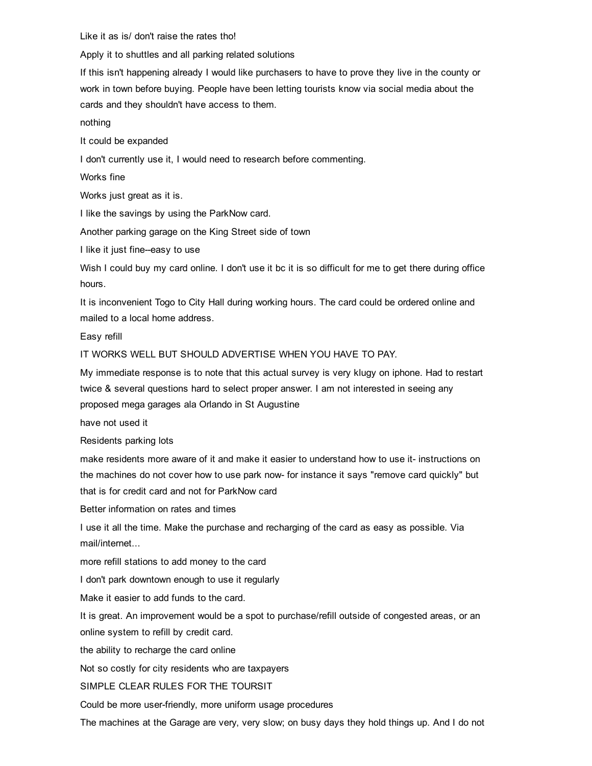Like it as is/ don't raise the rates tho!

Apply it to shuttles and all parking related solutions

If this isn't happening already I would like purchasers to have to prove they live in the county or work in town before buying. People have been letting tourists know via social media about the cards and they shouldn't have access to them.

nothing

It could be expanded

I don't currently use it, I would need to research before commenting.

Works fine

Works just great as it is.

I like the savings by using the ParkNow card.

Another parking garage on the King Street side of town

I like it just fine--easy to use

Wish I could buy my card online. I don't use it bc it is so difficult for me to get there during office hours.

It is inconvenient Togo to City Hall during working hours. The card could be ordered online and mailed to a local home address.

Easy refill

IT WORKS WELL BUT SHOULD ADVERTISE WHEN YOU HAVE TO PAY.

My immediate response is to note that this actual survey is very klugy on iphone. Had to restart twice & several questions hard to select proper answer. I am not interested in seeing any proposed mega garages ala Orlando in St Augustine

have not used it

Residents parking lots

make residents more aware of it and make it easier to understand how to use it- instructions on the machines do not cover how to use park now for instance it says "remove card quickly" but that is for credit card and not for ParkNow card

Better information on rates and times

I use it all the time. Make the purchase and recharging of the card as easy as possible. Via mail/internet...

more refill stations to add money to the card

I don't park downtown enough to use it regularly

Make it easier to add funds to the card.

It is great. An improvement would be a spot to purchase/refill outside of congested areas, or an online system to refill by credit card.

the ability to recharge the card online

Not so costly for city residents who are taxpayers

SIMPLE CLEAR RULES FOR THE TOURSIT

Could be more user-friendly, more uniform usage procedures

The machines at the Garage are very, very slow; on busy days they hold things up. And I do not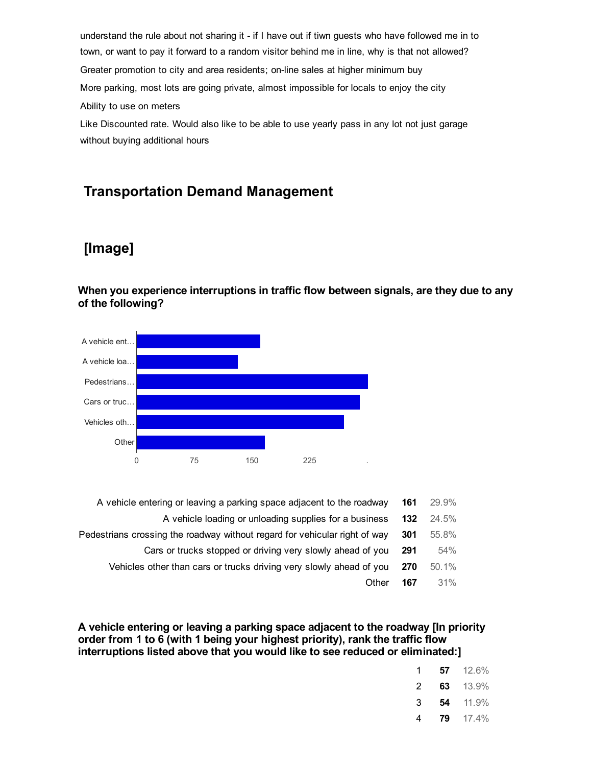understand the rule about not sharing it - if I have out if tiwn guests who have followed me in to town, or want to pay it forward to a random visitor behind me in line, why is that not allowed? Greater promotion to city and area residents; on-line sales at higher minimum buy More parking, most lots are going private, almost impossible for locals to enjoy the city Ability to use on meters

Like Discounted rate. Would also like to be able to use yearly pass in any lot not just garage without buying additional hours

### Transportation Demand Management

### [Image]

When you experience interruptions in traffic flow between signals, are they due to any of the following?



| 29.9%<br>161 | A vehicle entering or leaving a parking space adjacent to the roadway      |
|--------------|----------------------------------------------------------------------------|
| 132<br>24.5% | A vehicle loading or unloading supplies for a business                     |
| 55.8%<br>301 | Pedestrians crossing the roadway without regard for vehicular right of way |
| 54%<br>291   | Cars or trucks stopped or driving very slowly ahead of you                 |
| 50.1%<br>270 | Vehicles other than cars or trucks driving very slowly ahead of you        |
| 31%<br>167   | Other                                                                      |
|              |                                                                            |

A vehicle entering or leaving a parking space adjacent to the roadway [In priority order from 1 to 6 (with 1 being your highest priority), rank the traffic flow interruptions listed above that you would like to see reduced or eliminated:]

| 1 | 57 | 12.6% |
|---|----|-------|
| 2 | 63 | 13.9% |
| З | 54 | 11.9% |
| 4 | 79 | 17.4% |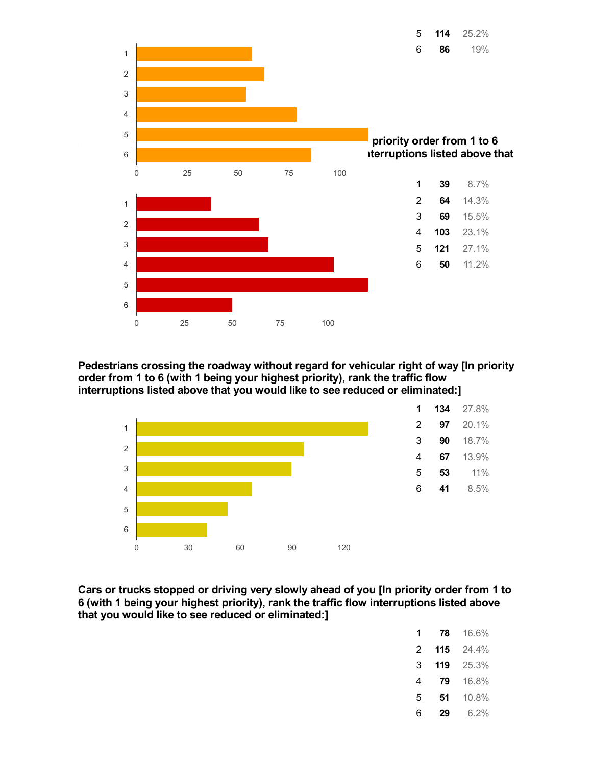

Pedestrians crossing the roadway without regard for vehicular right of way [In priority order from 1 to 6 (with 1 being your highest priority), rank the traffic flow interruptions listed above that you would like to see reduced or eliminated:]



Cars or trucks stopped or driving very slowly ahead of you [In priority order from 1 to (with 1 being your highest priority), rank the traffic flow interruptions listed above that you would like to see reduced or eliminated:]

| 1 | 78  | 16.6% |
|---|-----|-------|
| 2 | 115 | 24 4% |
| 3 | 119 | 25.3% |
| 4 | 79  | 16.8% |
| 5 | 51  | 10.8% |
| 6 | 29  | ჩ.2%  |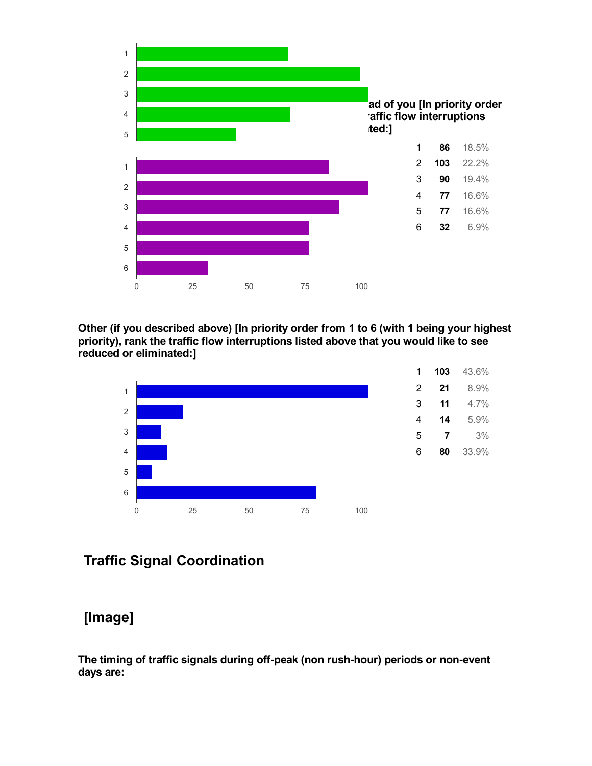

#### Other (if you described above) [In priority order from 1 to 6 (with 1 being your highest priority), rank the traffic flow interruptions listed above that you would like to see reduced or eliminated:]



# Traffic Signal Coordination

# [Image]

The timing of traffic signals during off-peak (non rush-hour) periods or non-event days are: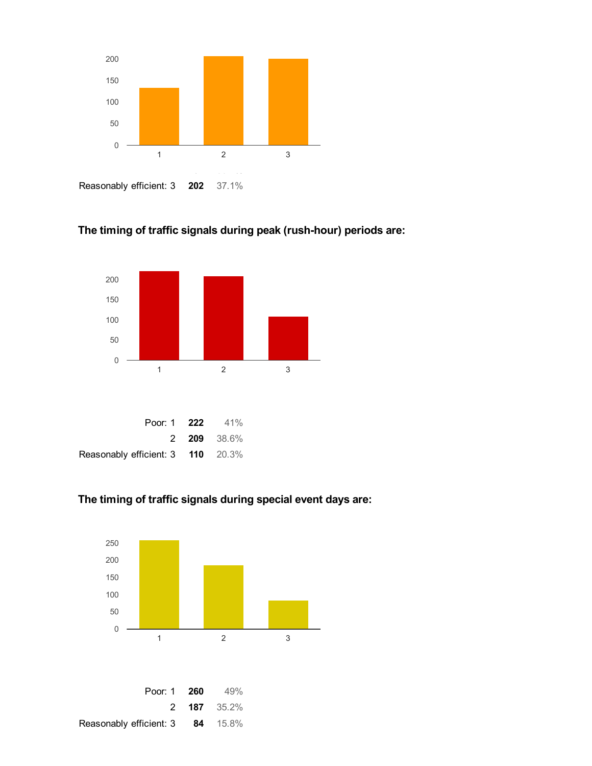

### The timing of traffic signals during peak (rush-hour) periods are:



### The timing of traffic signals during special event days are:

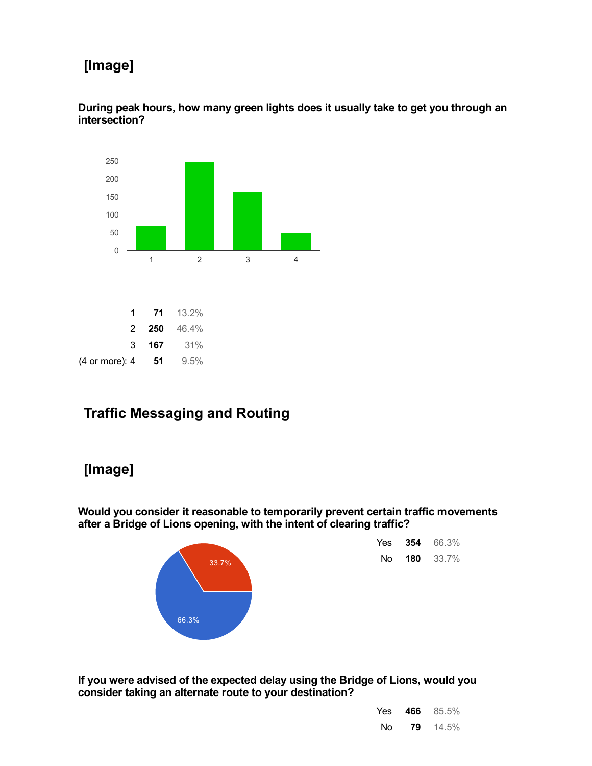# [Image]

During peak hours, how many green lights does it usually take to get you through an intersection?



# Traffic Messaging and Routing

# [Image]

Would you consider it reasonable to temporarily prevent certain traffic movements after a Bridge of Lions opening, with the intent of clearing traffic?



| Yes | 354 | 66.3% |
|-----|-----|-------|
| N٥  | 180 | 33.7% |

If you were advised of the expected delay using the Bridge of Lions, would you consider taking an alternate route to your destination?

| Yes | 466 | 85.5% |
|-----|-----|-------|
| Νo  | 79  | 14.5% |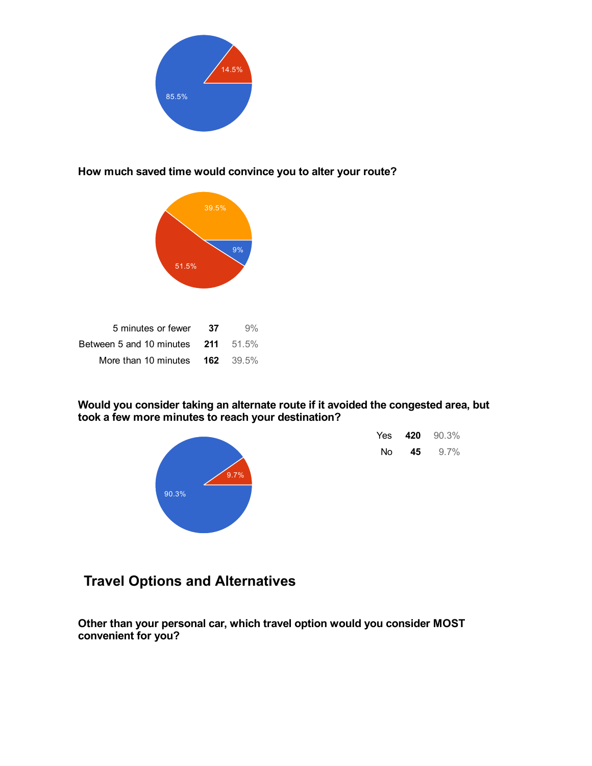

### How much saved time would convince you to alter your route?



| 5 minutes or fewer                       | -37 | 9% |
|------------------------------------------|-----|----|
| Between 5 and 10 minutes $211$ 51.5%     |     |    |
| More than 10 minutes $\,$ 162 $\,$ 39.5% |     |    |

### Would you consider taking an alternate route if it avoided the congested area, but took a few more minutes to reach your destination?



| Yes | 420 | 90.3%   |
|-----|-----|---------|
| N٥  | 45  | $9.7\%$ |

# Travel Options and Alternatives

Other than your personal car, which travel option would you consider MOST convenient for you?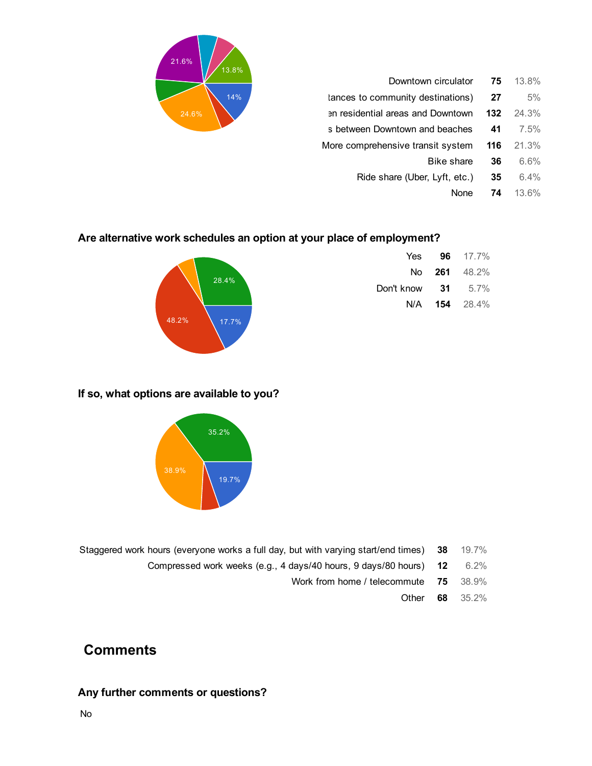| 21.6%<br>13.8% |                                   |     |       |
|----------------|-----------------------------------|-----|-------|
|                | Downtown circulator               | 75  | 13.8% |
| 14%            | tances to community destinations) | 27  | 5%    |
| 24.6%          | en residential areas and Downtown | 132 | 24.3% |
|                | s between Downtown and beaches    | 41  | 7.5%  |
|                | More comprehensive transit system | 116 | 21.3% |
|                | Bike share                        | 36  | 6.6%  |
|                | Ride share (Uber, Lyft, etc.)     | 35  | 6.4%  |
|                | None                              | 74  | 13.6% |
|                |                                   |     |       |

### Are alternative work schedules an option at your place of employment?



### Yes **96** 17.7% No 261 48.2% Don't know 31 5.7% N/A 154 28.4%

### If so, what options are available to you?



- Staggered work hours (everyone works a full day, but with varying start/end times) 38 19.7%
	- Compressed work weeks (e.g., 4 days/40 hours, 9 days/80 hours) 12 6.2%
		- Work from home / telecommute 75 38.9%
			- Other 68 35.2%

# **Comments**

### Any further comments or questions?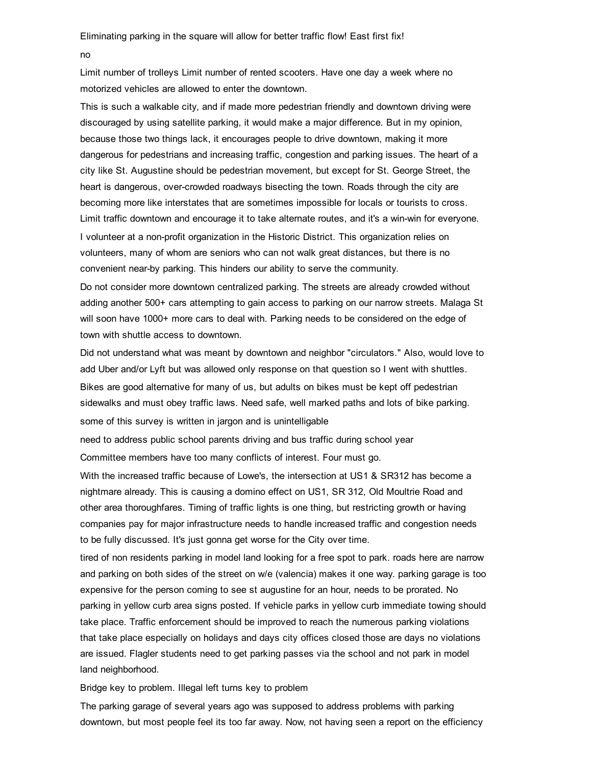no

Limit number of trolleys Limit number of rented scooters. Have one day a week where no motorized vehicles are allowed to enter the downtown.

This is such a walkable city, and if made more pedestrian friendly and downtown driving were discouraged by using satellite parking, it would make a major difference. But in my opinion, because those two things lack, it encourages people to drive downtown, making it more dangerous for pedestrians and increasing traffic, congestion and parking issues. The heart of a city like St. Augustine should be pedestrian movement, but except for St. George Street, the heart is dangerous, over-crowded roadways bisecting the town. Roads through the city are becoming more like interstates that are sometimes impossible for locals or tourists to cross. Limit traffic downtown and encourage it to take alternate routes, and it's a win-win for everyone. I volunteer at a non-profit organization in the Historic District. This organization relies on volunteers, many of whom are seniors who can not walk great distances, but there is no convenient near-by parking. This hinders our ability to serve the community.

Do not consider more downtown centralized parking. The streets are already crowded without adding another 500+ cars attempting to gain access to parking on our narrow streets. Malaga St will soon have 1000+ more cars to deal with. Parking needs to be considered on the edge of town with shuttle access to downtown.

Did not understand what was meant by downtown and neighbor "circulators." Also, would love to add Uber and/or Lyft but was allowed only response on that question so I went with shuttles. Bikes are good alternative for many of us, but adults on bikes must be kept off pedestrian sidewalks and must obey traffic laws. Need safe, well marked paths and lots of bike parking. some of this survey is written in jargon and is unintelligable

need to address public school parents driving and bus traffic during school year Committee members have too many conflicts of interest. Four must go.

With the increased traffic because of Lowe's, the intersection at US1 & SR312 has become a nightmare already. This is causing a domino effect on US1, SR 312, Old Moultrie Road and other area thoroughfares. Timing of traffic lights is one thing, but restricting growth or having companies pay for major infrastructure needs to handle increased traffic and congestion needs to be fully discussed. It's just gonna get worse for the City over time.

tired of non residents parking in model land looking for a free spot to park. roads here are narrow and parking on both sides of the street on w/e (valencia) makes it one way. parking garage is too expensive for the person coming to see st augustine for an hour, needs to be prorated. No parking in yellow curb area signs posted. If vehicle parks in yellow curb immediate towing should take place. Traffic enforcement should be improved to reach the numerous parking violations that take place especially on holidays and days city offices closed those are days no violations are issued. Flagler students need to get parking passes via the school and not park in model land neighborhood.

Bridge key to problem. Illegal left turns key to problem

The parking garage of several years ago was supposed to address problems with parking downtown, but most people feel its too far away. Now, not having seen a report on the efficiency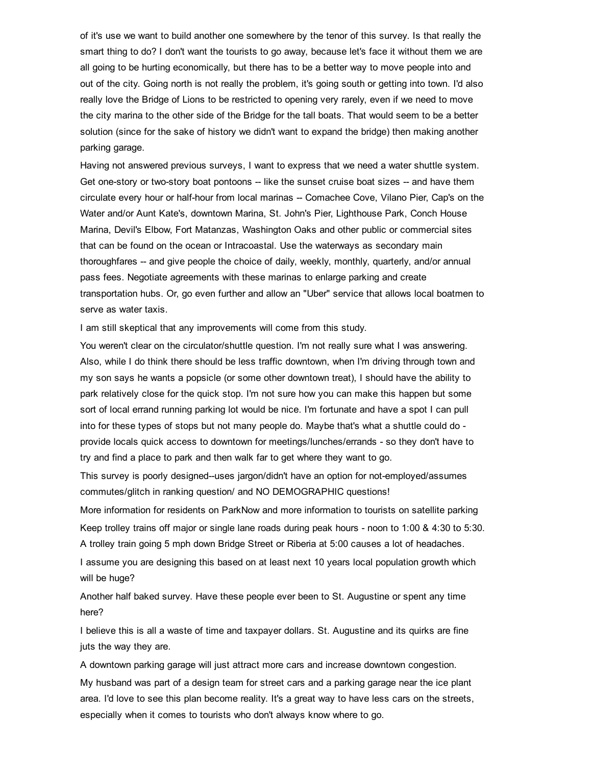of it's use we want to build another one somewhere by the tenor of this survey. Is that really the smart thing to do? I don't want the tourists to go away, because let's face it without them we are all going to be hurting economically, but there has to be a better way to move people into and out of the city. Going north is not really the problem, it's going south or getting into town. I'd also really love the Bridge of Lions to be restricted to opening very rarely, even if we need to move the city marina to the other side of the Bridge for the tall boats. That would seem to be a better solution (since for the sake of history we didn't want to expand the bridge) then making another parking garage.

Having not answered previous surveys, I want to express that we need a water shuttle system. Get one-story or two-story boat pontoons -- like the sunset cruise boat sizes -- and have them circulate every hour or half-hour from local marinas -- Comachee Cove, Vilano Pier, Cap's on the Water and/or Aunt Kate's, downtown Marina, St. John's Pier, Lighthouse Park, Conch House Marina, Devil's Elbow, Fort Matanzas, Washington Oaks and other public or commercial sites that can be found on the ocean or Intracoastal. Use the waterways as secondary main thoroughfares -- and give people the choice of daily, weekly, monthly, quarterly, and/or annual pass fees. Negotiate agreements with these marinas to enlarge parking and create transportation hubs. Or, go even further and allow an "Uber" service that allows local boatmen to serve as water taxis.

I am still skeptical that any improvements will come from this study.

You weren't clear on the circulator/shuttle question. I'm not really sure what I was answering. Also, while I do think there should be less traffic downtown, when I'm driving through town and my son says he wants a popsicle (or some other downtown treat), I should have the ability to park relatively close for the quick stop. I'm not sure how you can make this happen but some sort of local errand running parking lot would be nice. I'm fortunate and have a spot I can pull into for these types of stops but not many people do. Maybe that's what a shuttle could do provide locals quick access to downtown for meetings/lunches/errands - so they don't have to try and find a place to park and then walk far to get where they want to go.

This survey is poorly designed--uses jargon/didn't have an option for not-employed/assumes commutes/glitch in ranking question/ and NO DEMOGRAPHIC questions!

More information for residents on ParkNow and more information to tourists on satellite parking Keep trolley trains off major or single lane roads during peak hours - noon to 1:00 & 4:30 to 5:30. A trolley train going 5 mph down Bridge Street or Riberia at 5:00 causes a lot of headaches.

I assume you are designing this based on at least next 10 years local population growth which will be huge?

Another half baked survey. Have these people ever been to St. Augustine or spent any time here?

I believe this is all a waste of time and taxpayer dollars. St. Augustine and its quirks are fine juts the way they are.

A downtown parking garage will just attract more cars and increase downtown congestion.

My husband was part of a design team for street cars and a parking garage near the ice plant area. I'd love to see this plan become reality. It's a great way to have less cars on the streets, especially when it comes to tourists who don't always know where to go.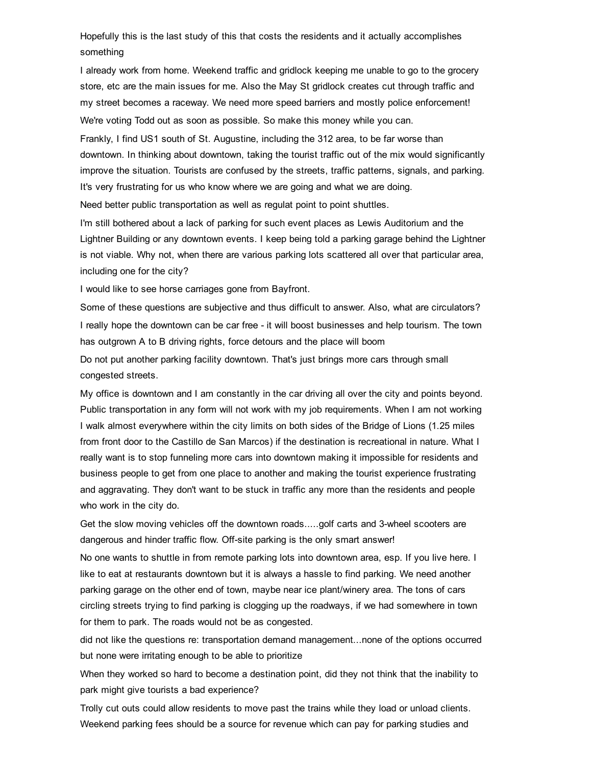Hopefully this is the last study of this that costs the residents and it actually accomplishes something

I already work from home. Weekend traffic and gridlock keeping me unable to go to the grocery store, etc are the main issues for me. Also the May St gridlock creates cut through traffic and my street becomes a raceway. We need more speed barriers and mostly police enforcement! We're voting Todd out as soon as possible. So make this money while you can.

Frankly, I find US1 south of St. Augustine, including the 312 area, to be far worse than downtown. In thinking about downtown, taking the tourist traffic out of the mix would significantly improve the situation. Tourists are confused by the streets, traffic patterns, signals, and parking. It's very frustrating for us who know where we are going and what we are doing.

Need better public transportation as well as regulat point to point shuttles.

I'm still bothered about a lack of parking for such event places as Lewis Auditorium and the Lightner Building or any downtown events. I keep being told a parking garage behind the Lightner is not viable. Why not, when there are various parking lots scattered all over that particular area, including one for the city?

I would like to see horse carriages gone from Bayfront.

Some of these questions are subjective and thus difficult to answer. Also, what are circulators? I really hope the downtown can be car free - it will boost businesses and help tourism. The town has outgrown A to B driving rights, force detours and the place will boom

Do not put another parking facility downtown. That's just brings more cars through small congested streets.

My office is downtown and I am constantly in the car driving all over the city and points beyond. Public transportation in any form will not work with my job requirements. When I am not working I walk almost everywhere within the city limits on both sides of the Bridge of Lions (1.25 miles from front door to the Castillo de San Marcos) if the destination is recreational in nature. What I really want is to stop funneling more cars into downtown making it impossible for residents and business people to get from one place to another and making the tourist experience frustrating and aggravating. They don't want to be stuck in traffic any more than the residents and people who work in the city do.

Get the slow moving vehicles off the downtown roads.....golf carts and 3wheel scooters are dangerous and hinder traffic flow. Off-site parking is the only smart answer!

No one wants to shuttle in from remote parking lots into downtown area, esp. If you live here. I like to eat at restaurants downtown but it is always a hassle to find parking. We need another parking garage on the other end of town, maybe near ice plant/winery area. The tons of cars circling streets trying to find parking is clogging up the roadways, if we had somewhere in town for them to park. The roads would not be as congested.

did not like the questions re: transportation demand management...none of the options occurred but none were irritating enough to be able to prioritize

When they worked so hard to become a destination point, did they not think that the inability to park might give tourists a bad experience?

Trolly cut outs could allow residents to move past the trains while they load or unload clients. Weekend parking fees should be a source for revenue which can pay for parking studies and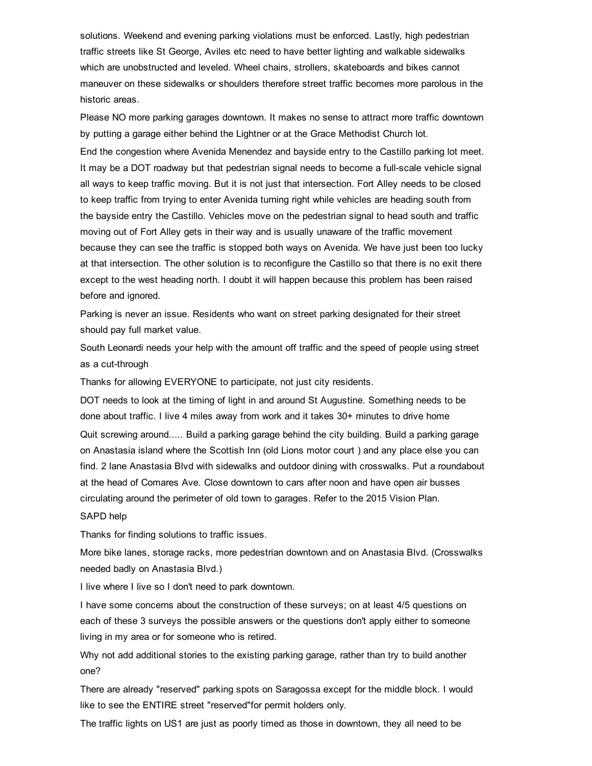solutions. Weekend and evening parking violations must be enforced. Lastly, high pedestrian traffic streets like St George, Aviles etc need to have better lighting and walkable sidewalks which are unobstructed and leveled. Wheel chairs, strollers, skateboards and bikes cannot maneuver on these sidewalks or shoulders therefore street traffic becomes more parolous in the historic areas.

Please NO more parking garages downtown. It makes no sense to attract more traffic downtown by putting a garage either behind the Lightner or at the Grace Methodist Church lot.

End the congestion where Avenida Menendez and bayside entry to the Castillo parking lot meet. It may be a DOT roadway but that pedestrian signal needs to become a full-scale vehicle signal all ways to keep traffic moving. But it is not just that intersection. Fort Alley needs to be closed to keep traffic from trying to enter Avenida turning right while vehicles are heading south from the bayside entry the Castillo. Vehicles move on the pedestrian signal to head south and traffic moving out of Fort Alley gets in their way and is usually unaware of the traffic movement because they can see the traffic is stopped both ways on Avenida. We have just been too lucky at that intersection. The other solution is to reconfigure the Castillo so that there is no exit there except to the west heading north. I doubt it will happen because this problem has been raised before and ignored.

Parking is never an issue. Residents who want on street parking designated for their street should pay full market value.

South Leonardi needs your help with the amount off traffic and the speed of people using street as a cut-through

Thanks for allowing EVERYONE to participate, not just city residents.

DOT needs to look at the timing of light in and around St Augustine. Something needs to be done about traffic. I live 4 miles away from work and it takes 30+ minutes to drive home Quit screwing around..... Build a parking garage behind the city building. Build a parking garage on Anastasia island where the Scottish Inn (old Lions motor court ) and any place else you can find. 2 lane Anastasia Blvd with sidewalks and outdoor dining with crosswalks. Put a roundabout at the head of Comares Ave. Close downtown to cars after noon and have open air busses circulating around the perimeter of old town to garages. Refer to the 2015 Vision Plan.

#### SAPD help

Thanks for finding solutions to traffic issues.

More bike lanes, storage racks, more pedestrian downtown and on Anastasia Blvd. (Crosswalks needed badly on Anastasia Blvd.)

I live where I live so I don't need to park downtown.

I have some concerns about the construction of these surveys; on at least 4/5 questions on each of these 3 surveys the possible answers or the questions don't apply either to someone living in my area or for someone who is retired.

Why not add additional stories to the existing parking garage, rather than try to build another one?

There are already "reserved" parking spots on Saragossa except for the middle block. I would like to see the ENTIRE street "reserved"for permit holders only.

The traffic lights on US1 are just as poorly timed as those in downtown, they all need to be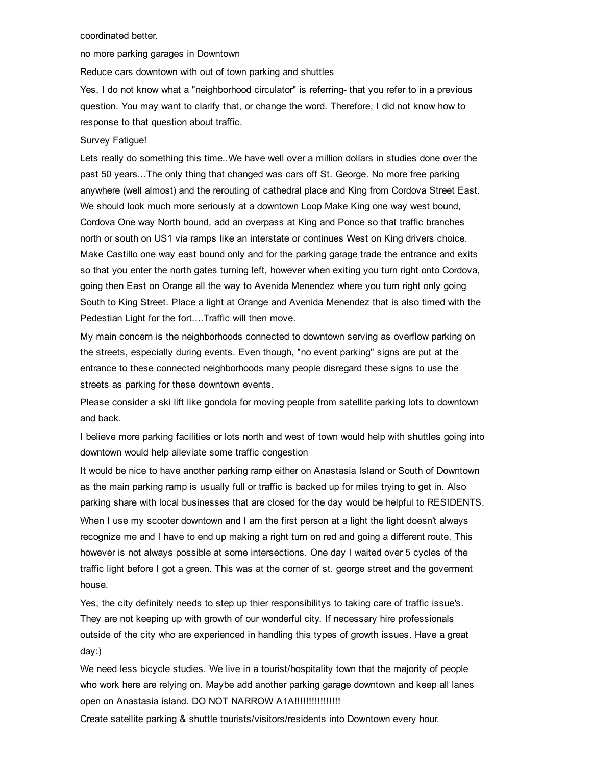#### coordinated better.

no more parking garages in Downtown

Reduce cars downtown with out of town parking and shuttles

Yes, I do not know what a "neighborhood circulator" is referring- that you refer to in a previous question. You may want to clarify that, or change the word. Therefore, I did not know how to response to that question about traffic.

#### Survey Fatigue!

Lets really do something this time..We have well over a million dollars in studies done over the past 50 years...The only thing that changed was cars off St. George. No more free parking anywhere (well almost) and the rerouting of cathedral place and King from Cordova Street East. We should look much more seriously at a downtown Loop Make King one way west bound, Cordova One way North bound, add an overpass at King and Ponce so that traffic branches north or south on US1 via ramps like an interstate or continues West on King drivers choice. Make Castillo one way east bound only and for the parking garage trade the entrance and exits so that you enter the north gates turning left, however when exiting you turn right onto Cordova, going then East on Orange all the way to Avenida Menendez where you turn right only going South to King Street. Place a light at Orange and Avenida Menendez that is also timed with the Pedestian Light for the fort....Traffic will then move.

My main concern is the neighborhoods connected to downtown serving as overflow parking on the streets, especially during events. Even though, "no event parking" signs are put at the entrance to these connected neighborhoods many people disregard these signs to use the streets as parking for these downtown events.

Please consider a ski lift like gondola for moving people from satellite parking lots to downtown and back.

I believe more parking facilities or lots north and west of town would help with shuttles going into downtown would help alleviate some traffic congestion

It would be nice to have another parking ramp either on Anastasia Island or South of Downtown as the main parking ramp is usually full or traffic is backed up for miles trying to get in. Also parking share with local businesses that are closed for the day would be helpful to RESIDENTS. When I use my scooter downtown and I am the first person at a light the light doesn't always recognize me and I have to end up making a right turn on red and going a different route. This however is not always possible at some intersections. One day I waited over 5 cycles of the traffic light before I got a green. This was at the corner of st. george street and the goverment house.

Yes, the city definitely needs to step up thier responsibilitys to taking care of traffic issue's. They are not keeping up with growth of our wonderful city. If necessary hire professionals outside of the city who are experienced in handling this types of growth issues. Have a great day:)

We need less bicycle studies. We live in a tourist/hospitality town that the majority of people who work here are relying on. Maybe add another parking garage downtown and keep all lanes open on Anastasia island. DO NOT NARROW A1A!!!!!!!!!!!!!!!!!!

Create satellite parking & shuttle tourists/visitors/residents into Downtown every hour.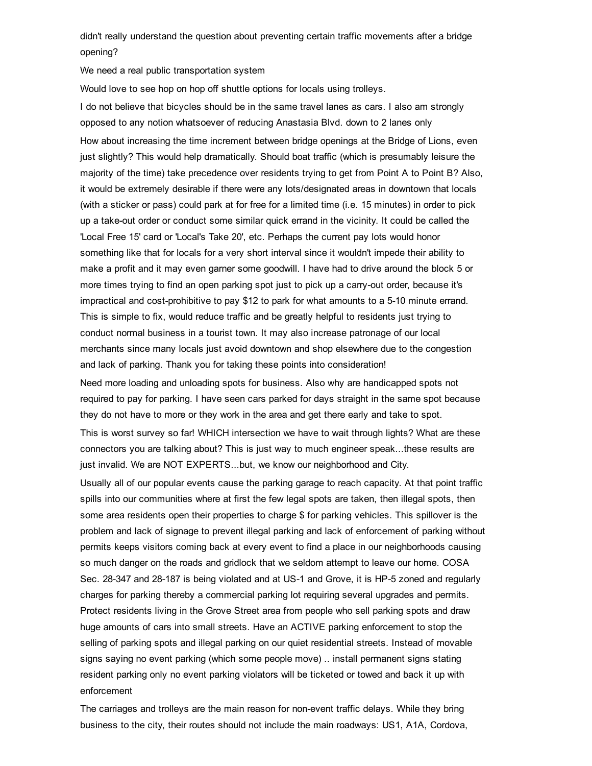didn't really understand the question about preventing certain traffic movements after a bridge opening?

We need a real public transportation system

Would love to see hop on hop off shuttle options for locals using trolleys.

I do not believe that bicycles should be in the same travel lanes as cars. I also am strongly opposed to any notion whatsoever of reducing Anastasia Blvd. down to 2 lanes only How about increasing the time increment between bridge openings at the Bridge of Lions, even just slightly? This would help dramatically. Should boat traffic (which is presumably leisure the majority of the time) take precedence over residents trying to get from Point A to Point B? Also, it would be extremely desirable if there were any lots/designated areas in downtown that locals (with a sticker or pass) could park at for free for a limited time (i.e. 15 minutes) in order to pick up a take-out order or conduct some similar quick errand in the vicinity. It could be called the 'Local Free 15' card or 'Local's Take 20', etc. Perhaps the current pay lots would honor something like that for locals for a very short interval since it wouldn't impede their ability to make a profit and it may even garner some goodwill. I have had to drive around the block 5 or more times trying to find an open parking spot just to pick up a carry-out order, because it's impractical and cost-prohibitive to pay \$12 to park for what amounts to a 5-10 minute errand. This is simple to fix, would reduce traffic and be greatly helpful to residents just trying to conduct normal business in a tourist town. It may also increase patronage of our local merchants since many locals just avoid downtown and shop elsewhere due to the congestion and lack of parking. Thank you for taking these points into consideration!

Need more loading and unloading spots for business. Also why are handicapped spots not required to pay for parking. I have seen cars parked for days straight in the same spot because they do not have to more or they work in the area and get there early and take to spot.

This is worst survey so far! WHICH intersection we have to wait through lights? What are these connectors you are talking about? This is just way to much engineer speak...these results are just invalid. We are NOT EXPERTS...but, we know our neighborhood and City.

Usually all of our popular events cause the parking garage to reach capacity. At that point traffic spills into our communities where at first the few legal spots are taken, then illegal spots, then some area residents open their properties to charge \$ for parking vehicles. This spillover is the problem and lack of signage to prevent illegal parking and lack of enforcement of parking without permits keeps visitors coming back at every event to find a place in our neighborhoods causing so much danger on the roads and gridlock that we seldom attempt to leave our home. COSA Sec. 28-347 and 28-187 is being violated and at US-1 and Grove, it is HP-5 zoned and regularly charges for parking thereby a commercial parking lot requiring several upgrades and permits. Protect residents living in the Grove Street area from people who sell parking spots and draw huge amounts of cars into small streets. Have an ACTIVE parking enforcement to stop the selling of parking spots and illegal parking on our quiet residential streets. Instead of movable signs saying no event parking (which some people move) .. install permanent signs stating resident parking only no event parking violators will be ticketed or towed and back it up with enforcement

The carriages and trolleys are the main reason for nonevent traffic delays. While they bring business to the city, their routes should not include the main roadways: US1, A1A, Cordova,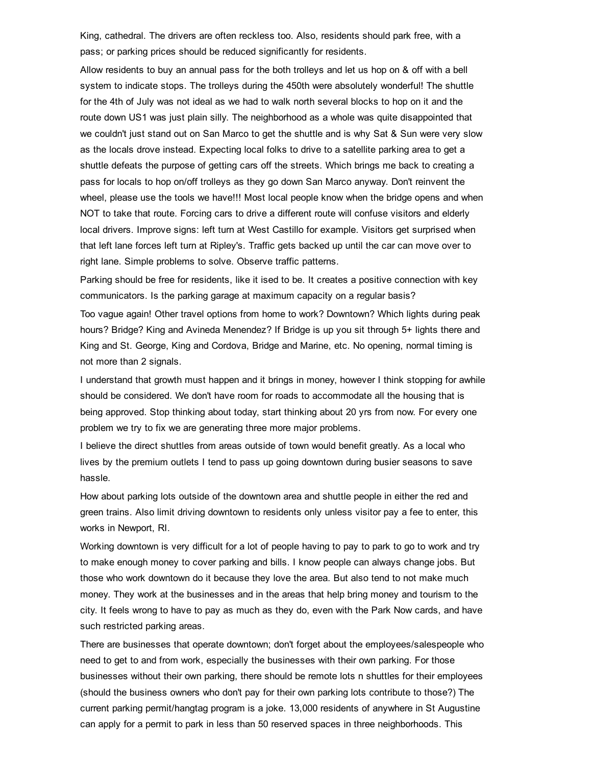King, cathedral. The drivers are often reckless too. Also, residents should park free, with a pass; or parking prices should be reduced significantly for residents.

Allow residents to buy an annual pass for the both trolleys and let us hop on & off with a bell system to indicate stops. The trolleys during the 450th were absolutely wonderful! The shuttle for the 4th of July was not ideal as we had to walk north several blocks to hop on it and the route down US1 was just plain silly. The neighborhood as a whole was quite disappointed that we couldn't just stand out on San Marco to get the shuttle and is why Sat & Sun were very slow as the locals drove instead. Expecting local folks to drive to a satellite parking area to get a shuttle defeats the purpose of getting cars off the streets. Which brings me back to creating a pass for locals to hop on/off trolleys as they go down San Marco anyway. Don't reinvent the wheel, please use the tools we have!!! Most local people know when the bridge opens and when NOT to take that route. Forcing cars to drive a different route will confuse visitors and elderly local drivers. Improve signs: left turn at West Castillo for example. Visitors get surprised when that left lane forces left turn at Ripley's. Traffic gets backed up until the car can move over to right lane. Simple problems to solve. Observe traffic patterns.

Parking should be free for residents, like it ised to be. It creates a positive connection with key communicators. Is the parking garage at maximum capacity on a regular basis?

Too vague again! Other travel options from home to work? Downtown? Which lights during peak hours? Bridge? King and Avineda Menendez? If Bridge is up you sit through 5+ lights there and King and St. George, King and Cordova, Bridge and Marine, etc. No opening, normal timing is not more than 2 signals.

I understand that growth must happen and it brings in money, however I think stopping for awhile should be considered. We don't have room for roads to accommodate all the housing that is being approved. Stop thinking about today, start thinking about 20 yrs from now. For every one problem we try to fix we are generating three more major problems.

I believe the direct shuttles from areas outside of town would benefit greatly. As a local who lives by the premium outlets I tend to pass up going downtown during busier seasons to save hassle.

How about parking lots outside of the downtown area and shuttle people in either the red and green trains. Also limit driving downtown to residents only unless visitor pay a fee to enter, this works in Newport, RI.

Working downtown is very difficult for a lot of people having to pay to park to go to work and try to make enough money to cover parking and bills. I know people can always change jobs. But those who work downtown do it because they love the area. But also tend to not make much money. They work at the businesses and in the areas that help bring money and tourism to the city. It feels wrong to have to pay as much as they do, even with the Park Now cards, and have such restricted parking areas.

There are businesses that operate downtown; don't forget about the employees/salespeople who need to get to and from work, especially the businesses with their own parking. For those businesses without their own parking, there should be remote lots n shuttles for their employees (should the business owners who don't pay for their own parking lots contribute to those?) The current parking permit/hangtag program is a joke. 13,000 residents of anywhere in St Augustine can apply for a permit to park in less than 50 reserved spaces in three neighborhoods. This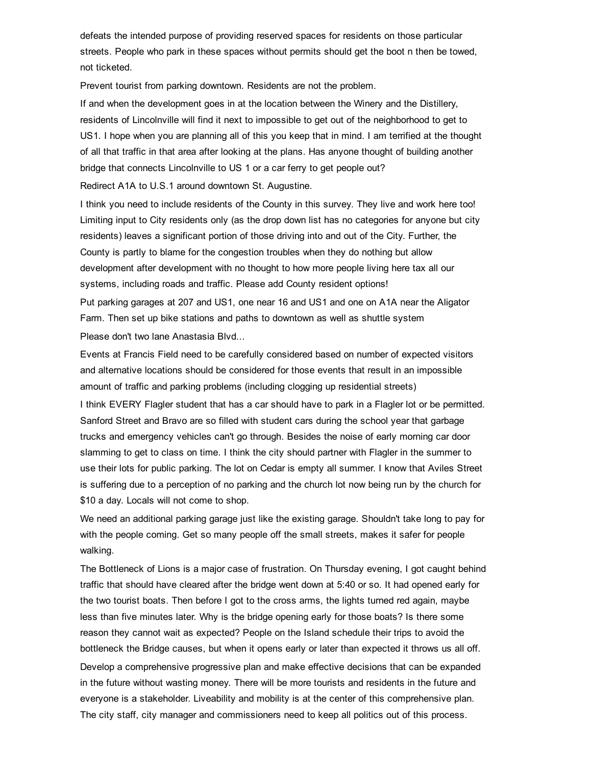defeats the intended purpose of providing reserved spaces for residents on those particular streets. People who park in these spaces without permits should get the boot n then be towed, not ticketed.

Prevent tourist from parking downtown. Residents are not the problem.

If and when the development goes in at the location between the Winery and the Distillery, residents of Lincolnville will find it next to impossible to get out of the neighborhood to get to US1. I hope when you are planning all of this you keep that in mind. I am terrified at the thought of all that traffic in that area after looking at the plans. Has anyone thought of building another bridge that connects Lincolnville to US 1 or a car ferry to get people out?

Redirect A1A to U.S.1 around downtown St. Augustine.

I think you need to include residents of the County in this survey. They live and work here too! Limiting input to City residents only (as the drop down list has no categories for anyone but city residents) leaves a significant portion of those driving into and out of the City. Further, the County is partly to blame for the congestion troubles when they do nothing but allow development after development with no thought to how more people living here tax all our systems, including roads and traffic. Please add County resident options! Put parking garages at 207 and US1, one near 16 and US1 and one on A1A near the Aligator

Farm. Then set up bike stations and paths to downtown as well as shuttle system Please don't two lane Anastasia Blvd...

Events at Francis Field need to be carefully considered based on number of expected visitors and alternative locations should be considered for those events that result in an impossible amount of traffic and parking problems (including clogging up residential streets)

I think EVERY Flagler student that has a car should have to park in a Flagler lot or be permitted. Sanford Street and Bravo are so filled with student cars during the school year that garbage trucks and emergency vehicles can't go through. Besides the noise of early morning car door slamming to get to class on time. I think the city should partner with Flagler in the summer to use their lots for public parking. The lot on Cedar is empty all summer. I know that Aviles Street is suffering due to a perception of no parking and the church lot now being run by the church for \$10 a day. Locals will not come to shop.

We need an additional parking garage just like the existing garage. Shouldn't take long to pay for with the people coming. Get so many people off the small streets, makes it safer for people walking.

The Bottleneck of Lions is a major case of frustration. On Thursday evening, I got caught behind traffic that should have cleared after the bridge went down at 5:40 or so. It had opened early for the two tourist boats. Then before I got to the cross arms, the lights turned red again, maybe less than five minutes later. Why is the bridge opening early for those boats? Is there some reason they cannot wait as expected? People on the Island schedule their trips to avoid the bottleneck the Bridge causes, but when it opens early or later than expected it throws us all off. Develop a comprehensive progressive plan and make effective decisions that can be expanded in the future without wasting money. There will be more tourists and residents in the future and everyone is a stakeholder. Liveability and mobility is at the center of this comprehensive plan. The city staff, city manager and commissioners need to keep all politics out of this process.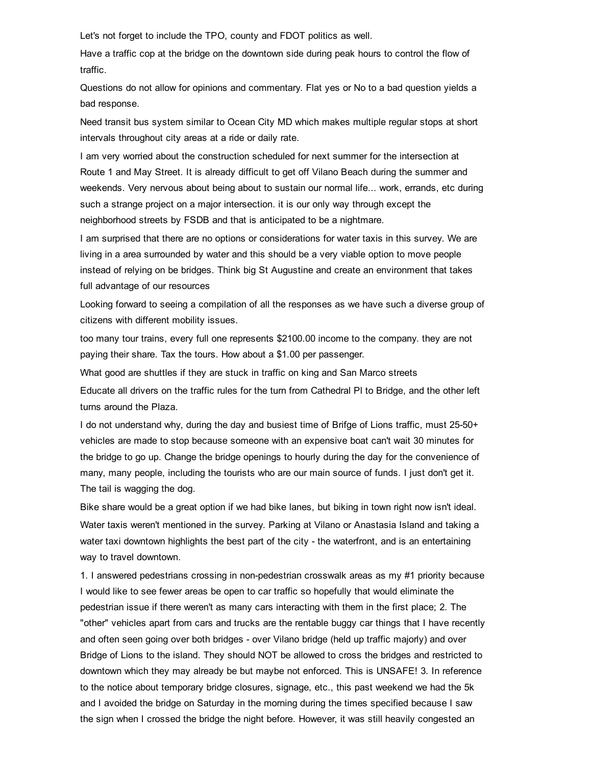Let's not forget to include the TPO, county and FDOT politics as well.

Have a traffic cop at the bridge on the downtown side during peak hours to control the flow of traffic.

Questions do not allow for opinions and commentary. Flat yes or No to a bad question yields a bad response.

Need transit bus system similar to Ocean City MD which makes multiple regular stops at short intervals throughout city areas at a ride or daily rate.

I am very worried about the construction scheduled for next summer for the intersection at Route 1 and May Street. It is already difficult to get off Vilano Beach during the summer and weekends. Very nervous about being about to sustain our normal life... work, errands, etc during such a strange project on a major intersection. it is our only way through except the neighborhood streets by FSDB and that is anticipated to be a nightmare.

I am surprised that there are no options or considerations for water taxis in this survey. We are living in a area surrounded by water and this should be a very viable option to move people instead of relying on be bridges. Think big St Augustine and create an environment that takes full advantage of our resources

Looking forward to seeing a compilation of all the responses as we have such a diverse group of citizens with different mobility issues.

too many tour trains, every full one represents \$2100.00 income to the company. they are not paying their share. Tax the tours. How about a \$1.00 per passenger.

What good are shuttles if they are stuck in traffic on king and San Marco streets

Educate all drivers on the traffic rules for the turn from Cathedral Pl to Bridge, and the other left turns around the Plaza.

I do not understand why, during the day and busiest time of Brifge of Lions traffic, must 2550+ vehicles are made to stop because someone with an expensive boat can't wait 30 minutes for the bridge to go up. Change the bridge openings to hourly during the day for the convenience of many, many people, including the tourists who are our main source of funds. I just don't get it. The tail is wagging the dog.

Bike share would be a great option if we had bike lanes, but biking in town right now isn't ideal. Water taxis weren't mentioned in the survey. Parking at Vilano or Anastasia Island and taking a water taxi downtown highlights the best part of the city - the waterfront, and is an entertaining way to travel downtown.

1. I answered pedestrians crossing in non-pedestrian crosswalk areas as my #1 priority because I would like to see fewer areas be open to car traffic so hopefully that would eliminate the pedestrian issue if there weren't as many cars interacting with them in the first place; 2. The "other" vehicles apart from cars and trucks are the rentable buggy car things that I have recently and often seen going over both bridges - over Vilano bridge (held up traffic majorly) and over Bridge of Lions to the island. They should NOT be allowed to cross the bridges and restricted to downtown which they may already be but maybe not enforced. This is UNSAFE! 3. In reference to the notice about temporary bridge closures, signage, etc., this past weekend we had the 5k and I avoided the bridge on Saturday in the morning during the times specified because I saw the sign when I crossed the bridge the night before. However, it was still heavily congested an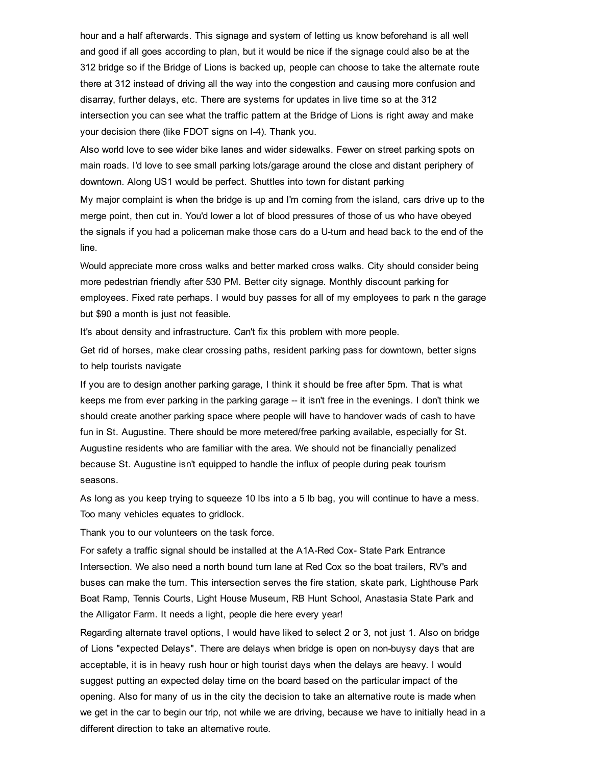hour and a half afterwards. This signage and system of letting us know beforehand is all well and good if all goes according to plan, but it would be nice if the signage could also be at the 312 bridge so if the Bridge of Lions is backed up, people can choose to take the alternate route there at 312 instead of driving all the way into the congestion and causing more confusion and disarray, further delays, etc. There are systems for updates in live time so at the 312 intersection you can see what the traffic pattern at the Bridge of Lions is right away and make your decision there (like FDOT signs on I-4). Thank you.

Also world love to see wider bike lanes and wider sidewalks. Fewer on street parking spots on main roads. I'd love to see small parking lots/garage around the close and distant periphery of downtown. Along US1 would be perfect. Shuttles into town for distant parking

My major complaint is when the bridge is up and I'm coming from the island, cars drive up to the merge point, then cut in. You'd lower a lot of blood pressures of those of us who have obeyed the signals if you had a policeman make those cars do a U-turn and head back to the end of the line.

Would appreciate more cross walks and better marked cross walks. City should consider being more pedestrian friendly after 530 PM. Better city signage. Monthly discount parking for employees. Fixed rate perhaps. I would buy passes for all of my employees to park n the garage but \$90 a month is just not feasible.

It's about density and infrastructure. Can't fix this problem with more people.

Get rid of horses, make clear crossing paths, resident parking pass for downtown, better signs to help tourists navigate

If you are to design another parking garage, I think it should be free after 5pm. That is what keeps me from ever parking in the parking garage -- it isn't free in the evenings. I don't think we should create another parking space where people will have to handover wads of cash to have fun in St. Augustine. There should be more metered/free parking available, especially for St. Augustine residents who are familiar with the area. We should not be financially penalized because St. Augustine isn't equipped to handle the influx of people during peak tourism seasons.

As long as you keep trying to squeeze 10 lbs into a 5 lb bag, you will continue to have a mess. Too many vehicles equates to gridlock.

Thank you to our volunteers on the task force.

For safety a traffic signal should be installed at the A1A-Red Cox-State Park Entrance Intersection. We also need a north bound turn lane at Red Cox so the boat trailers, RV's and buses can make the turn. This intersection serves the fire station, skate park, Lighthouse Park Boat Ramp, Tennis Courts, Light House Museum, RB Hunt School, Anastasia State Park and the Alligator Farm. It needs a light, people die here every year!

Regarding alternate travel options, I would have liked to select 2 or 3, not just 1. Also on bridge of Lions "expected Delays". There are delays when bridge is open on nonbuysy days that are acceptable, it is in heavy rush hour or high tourist days when the delays are heavy. I would suggest putting an expected delay time on the board based on the particular impact of the opening. Also for many of us in the city the decision to take an alternative route is made when we get in the car to begin our trip, not while we are driving, because we have to initially head in a different direction to take an alternative route.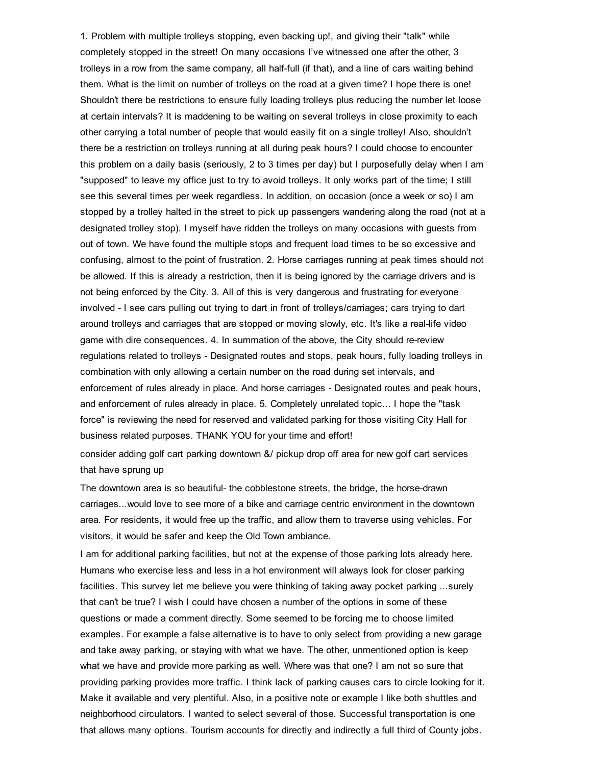1. Problem with multiple trolleys stopping, even backing up!, and giving their "talk" while completely stopped in the street! On many occasions I've witnessed one after the other, 3 trolleys in a row from the same company, all half-full (if that), and a line of cars waiting behind them. What is the limit on number of trolleys on the road at a given time? I hope there is one! Shouldn't there be restrictions to ensure fully loading trolleys plus reducing the number let loose at certain intervals? It is maddening to be waiting on several trolleys in close proximity to each other carrying a total number of people that would easily fit on a single trolley! Also, shouldn't there be a restriction on trolleys running at all during peak hours? I could choose to encounter this problem on a daily basis (seriously, 2 to 3 times per day) but I purposefully delay when I am "supposed" to leave my office just to try to avoid trolleys. It only works part of the time; I still see this several times per week regardless. In addition, on occasion (once a week or so) I am stopped by a trolley halted in the street to pick up passengers wandering along the road (not at a designated trolley stop). I myself have ridden the trolleys on many occasions with guests from out of town. We have found the multiple stops and frequent load times to be so excessive and confusing, almost to the point of frustration. 2. Horse carriages running at peak times should not be allowed. If this is already a restriction, then it is being ignored by the carriage drivers and is not being enforced by the City. 3. All of this is very dangerous and frustrating for everyone involved - I see cars pulling out trying to dart in front of trolleys/carriages; cars trying to dart around trolleys and carriages that are stopped or moving slowly, etc. It's like a reallife video game with dire consequences. 4. In summation of the above, the City should re-review regulations related to trolleys - Designated routes and stops, peak hours, fully loading trolleys in combination with only allowing a certain number on the road during set intervals, and enforcement of rules already in place. And horse carriages - Designated routes and peak hours, and enforcement of rules already in place. 5. Completely unrelated topic... I hope the "task force" is reviewing the need for reserved and validated parking for those visiting City Hall for business related purposes. THANK YOU for your time and effort!

consider adding golf cart parking downtown &/ pickup drop off area for new golf cart services that have sprung up

The downtown area is so beautiful- the cobblestone streets, the bridge, the horse-drawn carriages...would love to see more of a bike and carriage centric environment in the downtown area. For residents, it would free up the traffic, and allow them to traverse using vehicles. For visitors, it would be safer and keep the Old Town ambiance.

I am for additional parking facilities, but not at the expense of those parking lots already here. Humans who exercise less and less in a hot environment will always look for closer parking facilities. This survey let me believe you were thinking of taking away pocket parking ...surely that can't be true? I wish I could have chosen a number of the options in some of these questions or made a comment directly. Some seemed to be forcing me to choose limited examples. For example a false alternative is to have to only select from providing a new garage and take away parking, or staying with what we have. The other, unmentioned option is keep what we have and provide more parking as well. Where was that one? I am not so sure that providing parking provides more traffic. I think lack of parking causes cars to circle looking for it. Make it available and very plentiful. Also, in a positive note or example I like both shuttles and neighborhood circulators. I wanted to select several of those. Successful transportation is one that allows many options. Tourism accounts for directly and indirectly a full third of County jobs.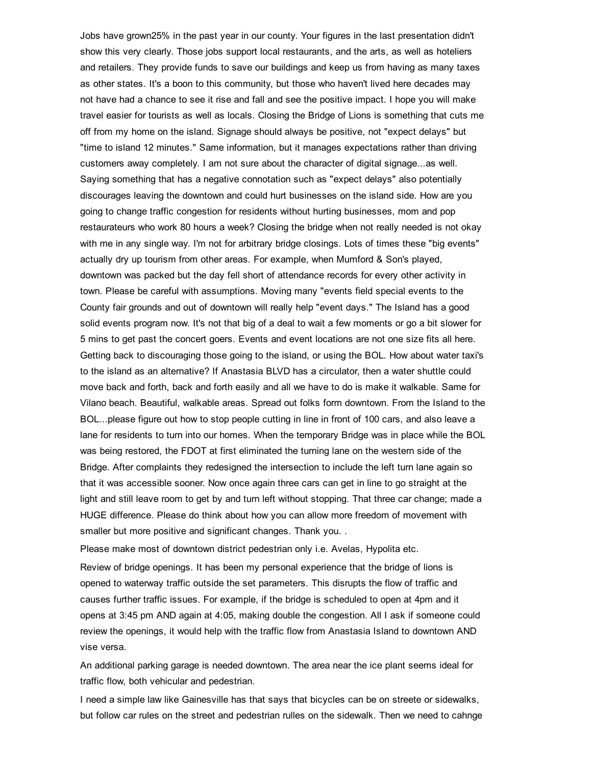Jobs have grown25% in the past year in our county. Your figures in the last presentation didn't show this very clearly. Those jobs support local restaurants, and the arts, as well as hoteliers and retailers. They provide funds to save our buildings and keep us from having as many taxes as other states. It's a boon to this community, but those who haven't lived here decades may not have had a chance to see it rise and fall and see the positive impact. I hope you will make travel easier for tourists as well as locals. Closing the Bridge of Lions is something that cuts me off from my home on the island. Signage should always be positive, not "expect delays" but "time to island 12 minutes." Same information, but it manages expectations rather than driving customers away completely. I am not sure about the character of digital signage...as well. Saying something that has a negative connotation such as "expect delays" also potentially discourages leaving the downtown and could hurt businesses on the island side. How are you going to change traffic congestion for residents without hurting businesses, mom and pop restaurateurs who work 80 hours a week? Closing the bridge when not really needed is not okay with me in any single way. I'm not for arbitrary bridge closings. Lots of times these "big events" actually dry up tourism from other areas. For example, when Mumford & Son's played, downtown was packed but the day fell short of attendance records for every other activity in town. Please be careful with assumptions. Moving many "events field special events to the County fair grounds and out of downtown will really help "event days." The Island has a good solid events program now. It's not that big of a deal to wait a few moments or go a bit slower for 5 mins to get past the concert goers. Events and event locations are not one size fits all here. Getting back to discouraging those going to the island, or using the BOL. How about water taxi's to the island as an alternative? If Anastasia BLVD has a circulator, then a water shuttle could move back and forth, back and forth easily and all we have to do is make it walkable. Same for Vilano beach. Beautiful, walkable areas. Spread out folks form downtown. From the Island to the BOL...please figure out how to stop people cutting in line in front of 100 cars, and also leave a lane for residents to turn into our homes. When the temporary Bridge was in place while the BOL was being restored, the FDOT at first eliminated the turning lane on the western side of the Bridge. After complaints they redesigned the intersection to include the left turn lane again so that it was accessible sooner. Now once again three cars can get in line to go straight at the light and still leave room to get by and turn left without stopping. That three car change; made a HUGE difference. Please do think about how you can allow more freedom of movement with smaller but more positive and significant changes. Thank you. .

Please make most of downtown district pedestrian only i.e. Avelas, Hypolita etc.

Review of bridge openings. It has been my personal experience that the bridge of lions is opened to waterway traffic outside the set parameters. This disrupts the flow of traffic and causes further traffic issues. For example, if the bridge is scheduled to open at 4pm and it opens at 3:45 pm AND again at 4:05, making double the congestion. All I ask if someone could review the openings, it would help with the traffic flow from Anastasia Island to downtown AND vise versa.

An additional parking garage is needed downtown. The area near the ice plant seems ideal for traffic flow, both vehicular and pedestrian.

I need a simple law like Gainesville has that says that bicycles can be on streete or sidewalks, but follow car rules on the street and pedestrian rulles on the sidewalk. Then we need to cahnge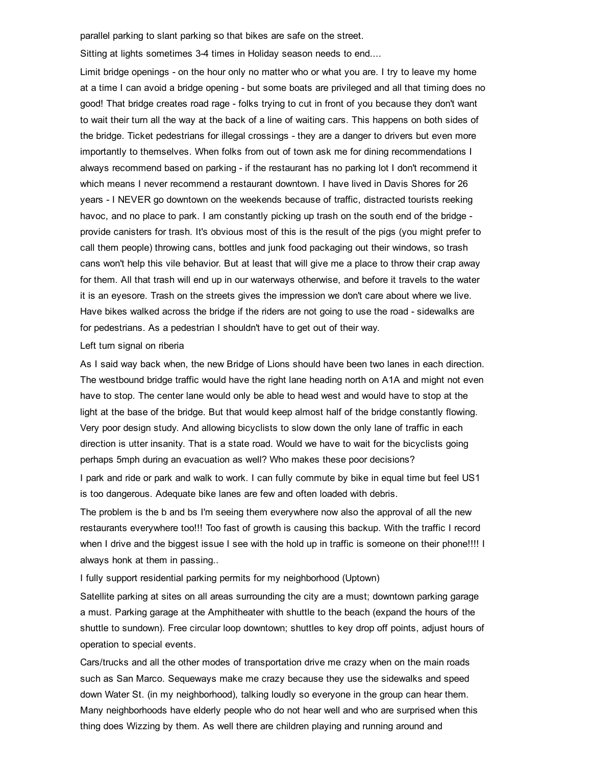parallel parking to slant parking so that bikes are safe on the street.

Sitting at lights sometimes 3-4 times in Holiday season needs to end....

Limit bridge openings - on the hour only no matter who or what you are. I try to leave my home at a time I can avoid a bridge opening - but some boats are privileged and all that timing does no good! That bridge creates road rage folks trying to cut in front of you because they don't want to wait their turn all the way at the back of a line of waiting cars. This happens on both sides of the bridge. Ticket pedestrians for illegal crossings - they are a danger to drivers but even more importantly to themselves. When folks from out of town ask me for dining recommendations I always recommend based on parking - if the restaurant has no parking lot I don't recommend it which means I never recommend a restaurant downtown. I have lived in Davis Shores for 26 years I NEVER go downtown on the weekends because of traffic, distracted tourists reeking havoc, and no place to park. I am constantly picking up trash on the south end of the bridge provide canisters for trash. It's obvious most of this is the result of the pigs (you might prefer to call them people) throwing cans, bottles and junk food packaging out their windows, so trash cans won't help this vile behavior. But at least that will give me a place to throw their crap away for them. All that trash will end up in our waterways otherwise, and before it travels to the water it is an eyesore. Trash on the streets gives the impression we don't care about where we live. Have bikes walked across the bridge if the riders are not going to use the road - sidewalks are for pedestrians. As a pedestrian I shouldn't have to get out of their way.

#### Left turn signal on riberia

As I said way back when, the new Bridge of Lions should have been two lanes in each direction. The westbound bridge traffic would have the right lane heading north on A1A and might not even have to stop. The center lane would only be able to head west and would have to stop at the light at the base of the bridge. But that would keep almost half of the bridge constantly flowing. Very poor design study. And allowing bicyclists to slow down the only lane of traffic in each direction is utter insanity. That is a state road. Would we have to wait for the bicyclists going perhaps 5mph during an evacuation as well? Who makes these poor decisions?

I park and ride or park and walk to work. I can fully commute by bike in equal time but feel US1 is too dangerous. Adequate bike lanes are few and often loaded with debris.

The problem is the b and bs I'm seeing them everywhere now also the approval of all the new restaurants everywhere too!!! Too fast of growth is causing this backup. With the traffic I record when I drive and the biggest issue I see with the hold up in traffic is someone on their phone!!!! I always honk at them in passing..

I fully support residential parking permits for my neighborhood (Uptown)

Satellite parking at sites on all areas surrounding the city are a must; downtown parking garage a must. Parking garage at the Amphitheater with shuttle to the beach (expand the hours of the shuttle to sundown). Free circular loop downtown; shuttles to key drop off points, adjust hours of operation to special events.

Cars/trucks and all the other modes of transportation drive me crazy when on the main roads such as San Marco. Sequeways make me crazy because they use the sidewalks and speed down Water St. (in my neighborhood), talking loudly so everyone in the group can hear them. Many neighborhoods have elderly people who do not hear well and who are surprised when this thing does Wizzing by them. As well there are children playing and running around and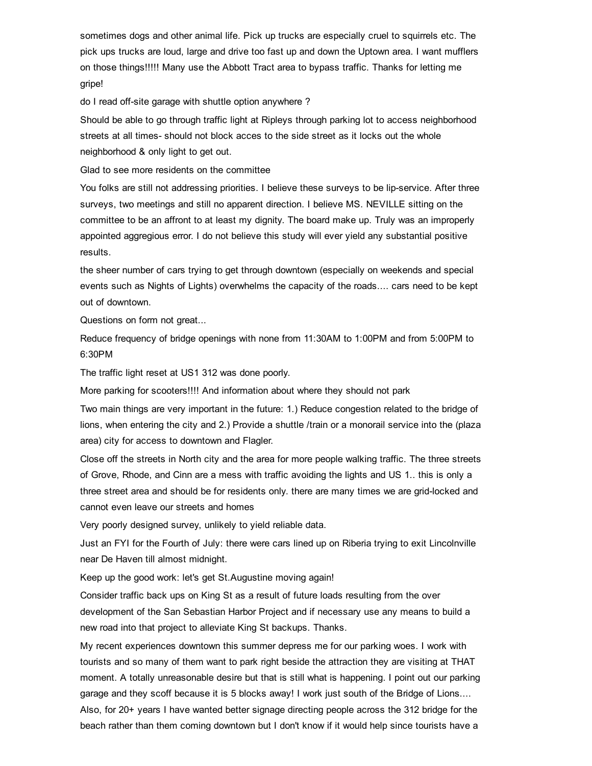sometimes dogs and other animal life. Pick up trucks are especially cruel to squirrels etc. The pick ups trucks are loud, large and drive too fast up and down the Uptown area. I want mufflers on those things!!!!! Many use the Abbott Tract area to bypass traffic. Thanks for letting me gripe!

do I read off-site garage with shuttle option anywhere ?

Should be able to go through traffic light at Ripleys through parking lot to access neighborhood streets at all times-should not block acces to the side street as it locks out the whole neighborhood & only light to get out.

Glad to see more residents on the committee

You folks are still not addressing priorities. I believe these surveys to be lip-service. After three surveys, two meetings and still no apparent direction. I believe MS. NEVILLE sitting on the committee to be an affront to at least my dignity. The board make up. Truly was an improperly appointed aggregious error. I do not believe this study will ever yield any substantial positive results.

the sheer number of cars trying to get through downtown (especially on weekends and special events such as Nights of Lights) overwhelms the capacity of the roads.... cars need to be kept out of downtown.

Questions on form not great...

Reduce frequency of bridge openings with none from 11:30AM to 1:00PM and from 5:00PM to 6:30PM

The traffic light reset at US1 312 was done poorly.

More parking for scooters!!!! And information about where they should not park

Two main things are very important in the future: 1.) Reduce congestion related to the bridge of lions, when entering the city and 2.) Provide a shuttle /train or a monorail service into the (plaza area) city for access to downtown and Flagler.

Close off the streets in North city and the area for more people walking traffic. The three streets of Grove, Rhode, and Cinn are a mess with traffic avoiding the lights and US 1.. this is only a three street area and should be for residents only. there are many times we are grid-locked and cannot even leave our streets and homes

Very poorly designed survey, unlikely to yield reliable data.

Just an FYI for the Fourth of July: there were cars lined up on Riberia trying to exit Lincolnville near De Haven till almost midnight.

Keep up the good work: let's get St.Augustine moving again!

Consider traffic back ups on King St as a result of future loads resulting from the over development of the San Sebastian Harbor Project and if necessary use any means to build a new road into that project to alleviate King St backups. Thanks.

My recent experiences downtown this summer depress me for our parking woes. I work with tourists and so many of them want to park right beside the attraction they are visiting at THAT moment. A totally unreasonable desire but that is still what is happening. I point out our parking garage and they scoff because it is 5 blocks away! I work just south of the Bridge of Lions.... Also, for 20+ years I have wanted better signage directing people across the 312 bridge for the beach rather than them coming downtown but I don't know if it would help since tourists have a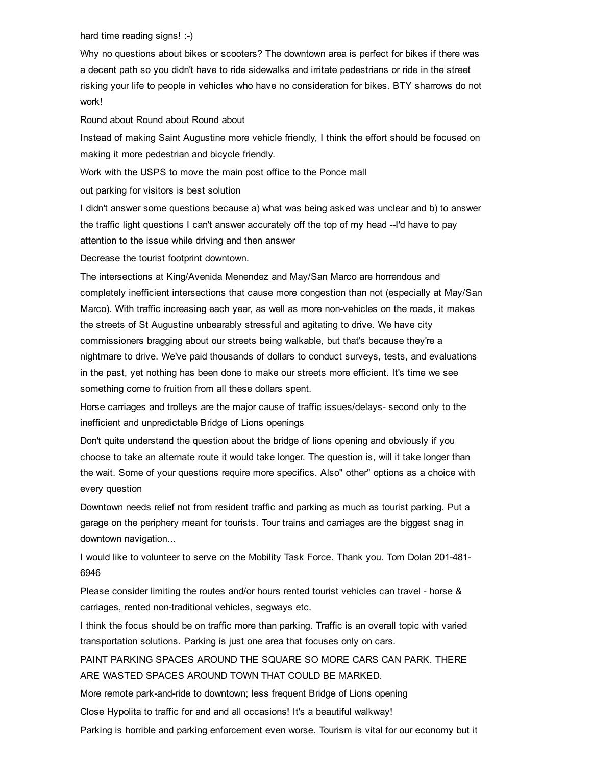hard time reading signs!  $\div$ )

Why no questions about bikes or scooters? The downtown area is perfect for bikes if there was a decent path so you didn't have to ride sidewalks and irritate pedestrians or ride in the street risking your life to people in vehicles who have no consideration for bikes. BTY sharrows do not work!

Round about Round about Round about

Instead of making Saint Augustine more vehicle friendly, I think the effort should be focused on making it more pedestrian and bicycle friendly.

Work with the USPS to move the main post office to the Ponce mall

out parking for visitors is best solution

I didn't answer some questions because a) what was being asked was unclear and b) to answer the traffic light questions I can't answer accurately off the top of my head --I'd have to pay attention to the issue while driving and then answer

Decrease the tourist footprint downtown.

The intersections at King/Avenida Menendez and May/San Marco are horrendous and completely inefficient intersections that cause more congestion than not (especially at May/San Marco). With traffic increasing each year, as well as more non-vehicles on the roads, it makes the streets of St Augustine unbearably stressful and agitating to drive. We have city commissioners bragging about our streets being walkable, but that's because they're a nightmare to drive. We've paid thousands of dollars to conduct surveys, tests, and evaluations in the past, yet nothing has been done to make our streets more efficient. It's time we see something come to fruition from all these dollars spent.

Horse carriages and trolleys are the major cause of traffic issues/delays- second only to the inefficient and unpredictable Bridge of Lions openings

Don't quite understand the question about the bridge of lions opening and obviously if you choose to take an alternate route it would take longer. The question is, will it take longer than the wait. Some of your questions require more specifics. Also" other" options as a choice with every question

Downtown needs relief not from resident traffic and parking as much as tourist parking. Put a garage on the periphery meant for tourists. Tour trains and carriages are the biggest snag in downtown navigation...

I would like to volunteer to serve on the Mobility Task Force. Thank you. Tom Dolan 201481 6946

Please consider limiting the routes and/or hours rented tourist vehicles can travel - horse & carriages, rented non-traditional vehicles, segways etc.

I think the focus should be on traffic more than parking. Traffic is an overall topic with varied transportation solutions. Parking is just one area that focuses only on cars.

PAINT PARKING SPACES AROUND THE SQUARE SO MORE CARS CAN PARK. THERE ARE WASTED SPACES AROUND TOWN THAT COULD BE MARKED.

More remote park-and-ride to downtown; less frequent Bridge of Lions opening

Close Hypolita to traffic for and and all occasions! It's a beautiful walkway!

Parking is horrible and parking enforcement even worse. Tourism is vital for our economy but it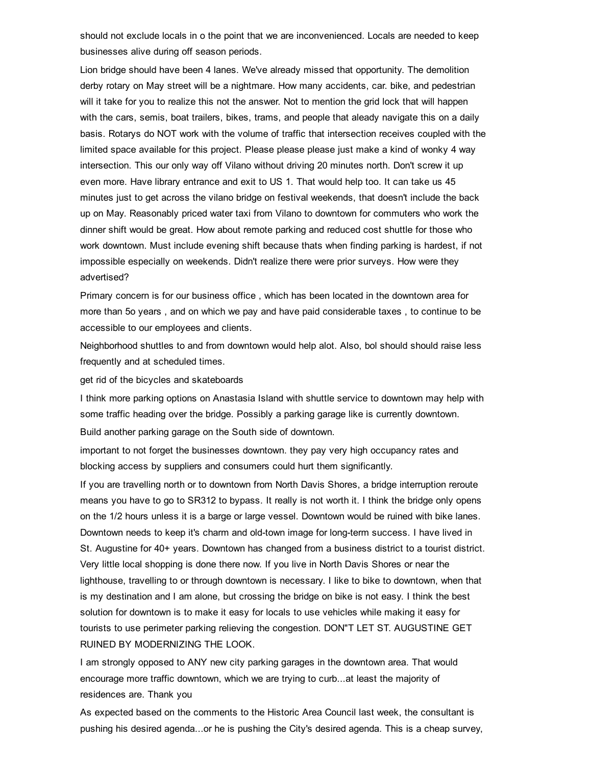should not exclude locals in o the point that we are inconvenienced. Locals are needed to keep businesses alive during off season periods.

Lion bridge should have been 4 lanes. We've already missed that opportunity. The demolition derby rotary on May street will be a nightmare. How many accidents, car. bike, and pedestrian will it take for you to realize this not the answer. Not to mention the grid lock that will happen with the cars, semis, boat trailers, bikes, trams, and people that aleady navigate this on a daily basis. Rotarys do NOT work with the volume of traffic that intersection receives coupled with the limited space available for this project. Please please please just make a kind of wonky 4 way intersection. This our only way off Vilano without driving 20 minutes north. Don't screw it up even more. Have library entrance and exit to US 1. That would help too. It can take us 45 minutes just to get across the vilano bridge on festival weekends, that doesn't include the back up on May. Reasonably priced water taxi from Vilano to downtown for commuters who work the dinner shift would be great. How about remote parking and reduced cost shuttle for those who work downtown. Must include evening shift because thats when finding parking is hardest, if not impossible especially on weekends. Didn't realize there were prior surveys. How were they advertised?

Primary concern is for our business office , which has been located in the downtown area for more than 5o years , and on which we pay and have paid considerable taxes , to continue to be accessible to our employees and clients.

Neighborhood shuttles to and from downtown would help alot. Also, bol should should raise less frequently and at scheduled times.

get rid of the bicycles and skateboards

I think more parking options on Anastasia Island with shuttle service to downtown may help with some traffic heading over the bridge. Possibly a parking garage like is currently downtown. Build another parking garage on the South side of downtown.

important to not forget the businesses downtown. they pay very high occupancy rates and blocking access by suppliers and consumers could hurt them significantly.

If you are travelling north or to downtown from North Davis Shores, a bridge interruption reroute means you have to go to SR312 to bypass. It really is not worth it. I think the bridge only opens on the 1/2 hours unless it is a barge or large vessel. Downtown would be ruined with bike lanes. Downtown needs to keep it's charm and old-town image for long-term success. I have lived in St. Augustine for 40+ years. Downtown has changed from a business district to a tourist district. Very little local shopping is done there now. If you live in North Davis Shores or near the lighthouse, travelling to or through downtown is necessary. I like to bike to downtown, when that is my destination and I am alone, but crossing the bridge on bike is not easy. I think the best solution for downtown is to make it easy for locals to use vehicles while making it easy for tourists to use perimeter parking relieving the congestion. DON"T LET ST. AUGUSTINE GET RUINED BY MODERNIZING THE LOOK.

I am strongly opposed to ANY new city parking garages in the downtown area. That would encourage more traffic downtown, which we are trying to curb...at least the majority of residences are. Thank you

As expected based on the comments to the Historic Area Council last week, the consultant is pushing his desired agenda...or he is pushing the City's desired agenda. This is a cheap survey,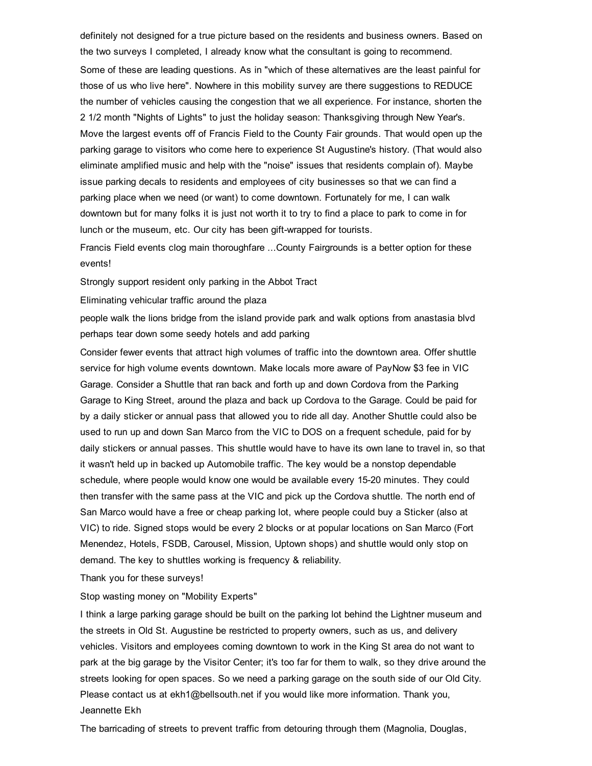definitely not designed for a true picture based on the residents and business owners. Based on the two surveys I completed, I already know what the consultant is going to recommend. Some of these are leading questions. As in "which of these alternatives are the least painful for those of us who live here". Nowhere in this mobility survey are there suggestions to REDUCE the number of vehicles causing the congestion that we all experience. For instance, shorten the 2 1/2 month "Nights of Lights" to just the holiday season: Thanksgiving through New Year's. Move the largest events off of Francis Field to the County Fair grounds. That would open up the parking garage to visitors who come here to experience St Augustine's history. (That would also eliminate amplified music and help with the "noise" issues that residents complain of). Maybe issue parking decals to residents and employees of city businesses so that we can find a parking place when we need (or want) to come downtown. Fortunately for me, I can walk downtown but for many folks it is just not worth it to try to find a place to park to come in for lunch or the museum, etc. Our city has been gift-wrapped for tourists.

Francis Field events clog main thoroughfare ...County Fairgrounds is a better option for these events!

Strongly support resident only parking in the Abbot Tract

Eliminating vehicular traffic around the plaza

people walk the lions bridge from the island provide park and walk options from anastasia blvd perhaps tear down some seedy hotels and add parking

Consider fewer events that attract high volumes of traffic into the downtown area. Offer shuttle service for high volume events downtown. Make locals more aware of PayNow \$3 fee in VIC Garage. Consider a Shuttle that ran back and forth up and down Cordova from the Parking Garage to King Street, around the plaza and back up Cordova to the Garage. Could be paid for by a daily sticker or annual pass that allowed you to ride all day. Another Shuttle could also be used to run up and down San Marco from the VIC to DOS on a frequent schedule, paid for by daily stickers or annual passes. This shuttle would have to have its own lane to travel in, so that it wasn't held up in backed up Automobile traffic. The key would be a nonstop dependable schedule, where people would know one would be available every 1520 minutes. They could then transfer with the same pass at the VIC and pick up the Cordova shuttle. The north end of San Marco would have a free or cheap parking lot, where people could buy a Sticker (also at VIC) to ride. Signed stops would be every 2 blocks or at popular locations on San Marco (Fort Menendez, Hotels, FSDB, Carousel, Mission, Uptown shops) and shuttle would only stop on demand. The key to shuttles working is frequency & reliability.

Thank you for these surveys!

Stop wasting money on "Mobility Experts"

I think a large parking garage should be built on the parking lot behind the Lightner museum and the streets in Old St. Augustine be restricted to property owners, such as us, and delivery vehicles. Visitors and employees coming downtown to work in the King St area do not want to park at the big garage by the Visitor Center; it's too far for them to walk, so they drive around the streets looking for open spaces. So we need a parking garage on the south side of our Old City. Please contact us at ekh1@bellsouth.net if you would like more information. Thank you, Jeannette Ekh

The barricading of streets to prevent traffic from detouring through them (Magnolia, Douglas,